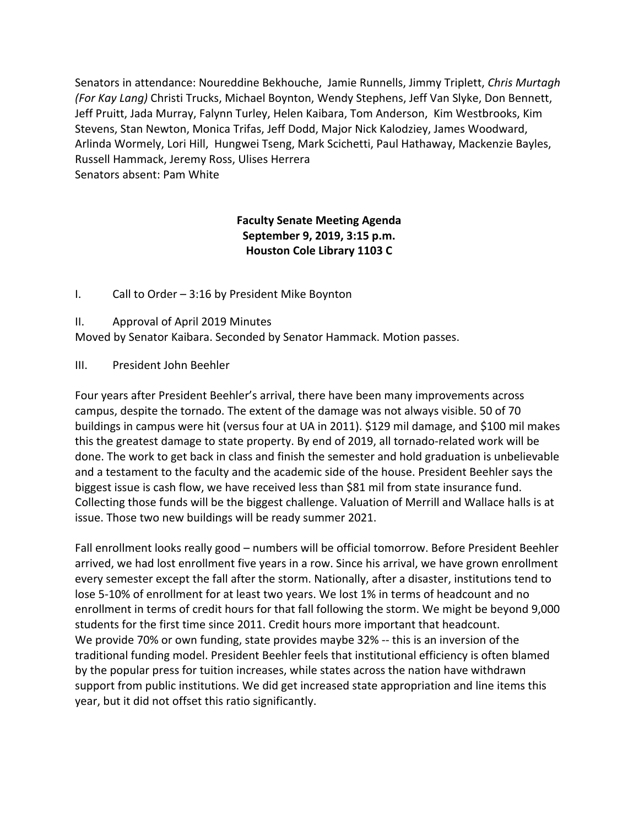Senators in attendance: Noureddine Bekhouche, Jamie Runnells, Jimmy Triplett, *Chris Murtagh (For Kay Lang)* Christi Trucks, Michael Boynton, Wendy Stephens, Jeff Van Slyke, Don Bennett, Jeff Pruitt, Jada Murray, Falynn Turley, Helen Kaibara, Tom Anderson, Kim Westbrooks, Kim Stevens, Stan Newton, Monica Trifas, Jeff Dodd, Major Nick Kalodziey, James Woodward, Arlinda Wormely, Lori Hill, Hungwei Tseng, Mark Scichetti, Paul Hathaway, Mackenzie Bayles, Russell Hammack, Jeremy Ross, Ulises Herrera Senators absent: Pam White

# **Faculty Senate Meeting Agenda September 9, 2019, 3:15 p.m. Houston Cole Library 1103 C**

I. Call to Order – 3:16 by President Mike Boynton

II. Approval of April 2019 Minutes

Moved by Senator Kaibara. Seconded by Senator Hammack. Motion passes.

III. President John Beehler

Four years after President Beehler's arrival, there have been many improvements across campus, despite the tornado. The extent of the damage was not always visible. 50 of 70 buildings in campus were hit (versus four at UA in 2011). \$129 mil damage, and \$100 mil makes this the greatest damage to state property. By end of 2019, all tornado-related work will be done. The work to get back in class and finish the semester and hold graduation is unbelievable and a testament to the faculty and the academic side of the house. President Beehler says the biggest issue is cash flow, we have received less than \$81 mil from state insurance fund. Collecting those funds will be the biggest challenge. Valuation of Merrill and Wallace halls is at issue. Those two new buildings will be ready summer 2021.

Fall enrollment looks really good – numbers will be official tomorrow. Before President Beehler arrived, we had lost enrollment five years in a row. Since his arrival, we have grown enrollment every semester except the fall after the storm. Nationally, after a disaster, institutions tend to lose 5-10% of enrollment for at least two years. We lost 1% in terms of headcount and no enrollment in terms of credit hours for that fall following the storm. We might be beyond 9,000 students for the first time since 2011. Credit hours more important that headcount. We provide 70% or own funding, state provides maybe 32% -- this is an inversion of the traditional funding model. President Beehler feels that institutional efficiency is often blamed by the popular press for tuition increases, while states across the nation have withdrawn support from public institutions. We did get increased state appropriation and line items this year, but it did not offset this ratio significantly.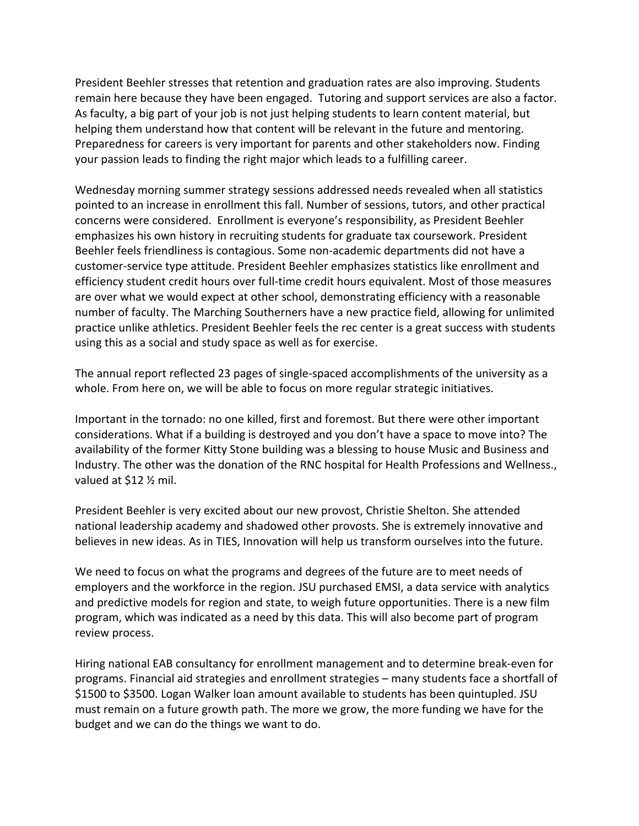President Beehler stresses that retention and graduation rates are also improving. Students remain here because they have been engaged. Tutoring and support services are also a factor. As faculty, a big part of your job is not just helping students to learn content material, but helping them understand how that content will be relevant in the future and mentoring. Preparedness for careers is very important for parents and other stakeholders now. Finding your passion leads to finding the right major which leads to a fulfilling career.

Wednesday morning summer strategy sessions addressed needs revealed when all statistics pointed to an increase in enrollment this fall. Number of sessions, tutors, and other practical concerns were considered. Enrollment is everyone's responsibility, as President Beehler emphasizes his own history in recruiting students for graduate tax coursework. President Beehler feels friendliness is contagious. Some non-academic departments did not have a customer-service type attitude. President Beehler emphasizes statistics like enrollment and efficiency student credit hours over full-time credit hours equivalent. Most of those measures are over what we would expect at other school, demonstrating efficiency with a reasonable number of faculty. The Marching Southerners have a new practice field, allowing for unlimited practice unlike athletics. President Beehler feels the rec center is a great success with students using this as a social and study space as well as for exercise.

The annual report reflected 23 pages of single-spaced accomplishments of the university as a whole. From here on, we will be able to focus on more regular strategic initiatives.

Important in the tornado: no one killed, first and foremost. But there were other important considerations. What if a building is destroyed and you don't have a space to move into? The availability of the former Kitty Stone building was a blessing to house Music and Business and Industry. The other was the donation of the RNC hospital for Health Professions and Wellness., valued at \$12 ½ mil.

President Beehler is very excited about our new provost, Christie Shelton. She attended national leadership academy and shadowed other provosts. She is extremely innovative and believes in new ideas. As in TIES, Innovation will help us transform ourselves into the future.

We need to focus on what the programs and degrees of the future are to meet needs of employers and the workforce in the region. JSU purchased EMSI, a data service with analytics and predictive models for region and state, to weigh future opportunities. There is a new film program, which was indicated as a need by this data. This will also become part of program review process.

Hiring national EAB consultancy for enrollment management and to determine break-even for programs. Financial aid strategies and enrollment strategies – many students face a shortfall of \$1500 to \$3500. Logan Walker loan amount available to students has been quintupled. JSU must remain on a future growth path. The more we grow, the more funding we have for the budget and we can do the things we want to do.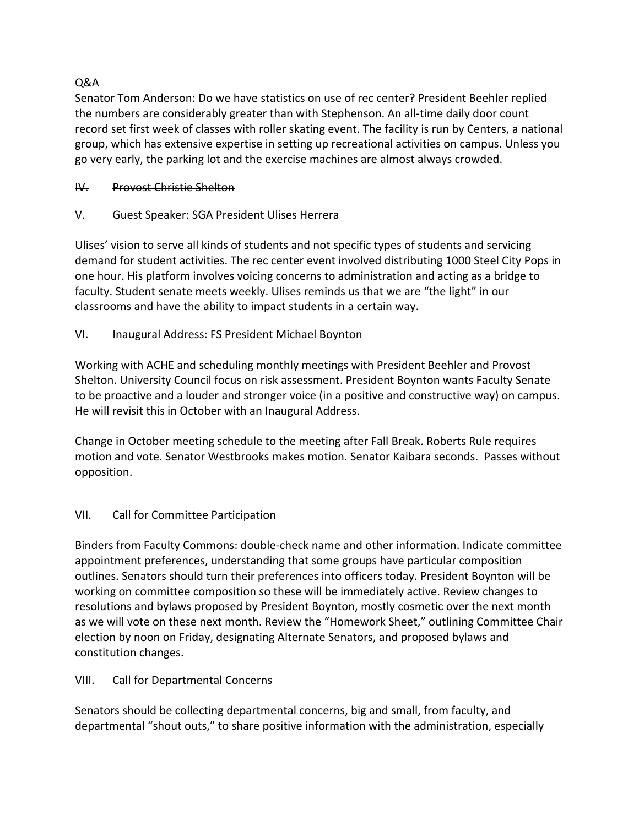## Q&A

Senator Tom Anderson: Do we have statistics on use of rec center? President Beehler replied the numbers are considerably greater than with Stephenson. An all-time daily door count record set first week of classes with roller skating event. The facility is run by Centers, a national group, which has extensive expertise in setting up recreational activities on campus. Unless you go very early, the parking lot and the exercise machines are almost always crowded.

## IV. Provost Christie Shelton

V. Guest Speaker: SGA President Ulises Herrera

Ulises' vision to serve all kinds of students and not specific types of students and servicing demand for student activities. The rec center event involved distributing 1000 Steel City Pops in one hour. His platform involves voicing concerns to administration and acting as a bridge to faculty. Student senate meets weekly. Ulises reminds us that we are "the light" in our classrooms and have the ability to impact students in a certain way.

VI. Inaugural Address: FS President Michael Boynton

Working with ACHE and scheduling monthly meetings with President Beehler and Provost Shelton. University Council focus on risk assessment. President Boynton wants Faculty Senate to be proactive and a louder and stronger voice (in a positive and constructive way) on campus. He will revisit this in October with an Inaugural Address.

Change in October meeting schedule to the meeting after Fall Break. Roberts Rule requires motion and vote. Senator Westbrooks makes motion. Senator Kaibara seconds. Passes without opposition.

# VII. Call for Committee Participation

Binders from Faculty Commons: double-check name and other information. Indicate committee appointment preferences, understanding that some groups have particular composition outlines. Senators should turn their preferences into officers today. President Boynton will be working on committee composition so these will be immediately active. Review changes to resolutions and bylaws proposed by President Boynton, mostly cosmetic over the next month as we will vote on these next month. Review the "Homework Sheet," outlining Committee Chair election by noon on Friday, designating Alternate Senators, and proposed bylaws and constitution changes.

VIII. Call for Departmental Concerns

Senators should be collecting departmental concerns, big and small, from faculty, and departmental "shout outs," to share positive information with the administration, especially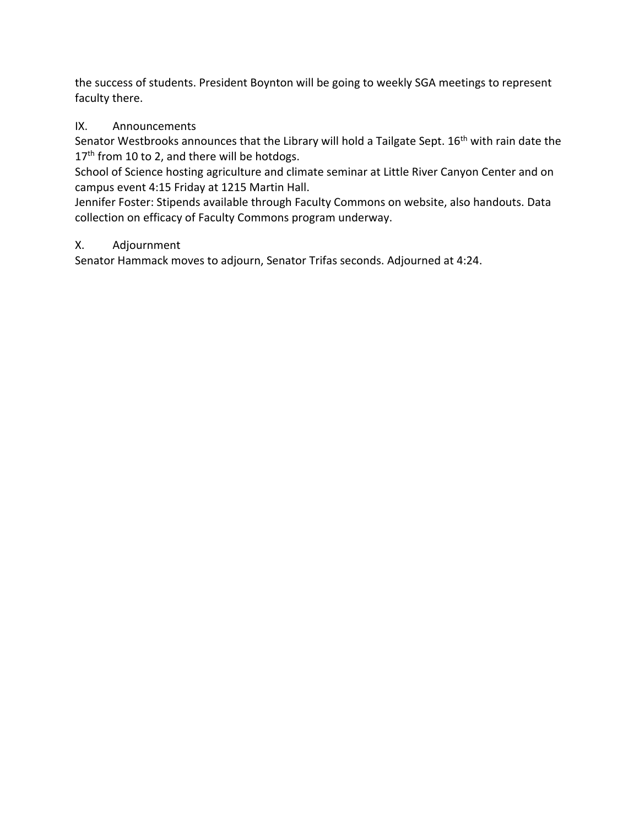the success of students. President Boynton will be going to weekly SGA meetings to represent faculty there.

# IX. Announcements

Senator Westbrooks announces that the Library will hold a Tailgate Sept. 16<sup>th</sup> with rain date the 17<sup>th</sup> from 10 to 2, and there will be hotdogs.

School of Science hosting agriculture and climate seminar at Little River Canyon Center and on campus event 4:15 Friday at 1215 Martin Hall.

Jennifer Foster: Stipends available through Faculty Commons on website, also handouts. Data collection on efficacy of Faculty Commons program underway.

# X. Adjournment

Senator Hammack moves to adjourn, Senator Trifas seconds. Adjourned at 4:24.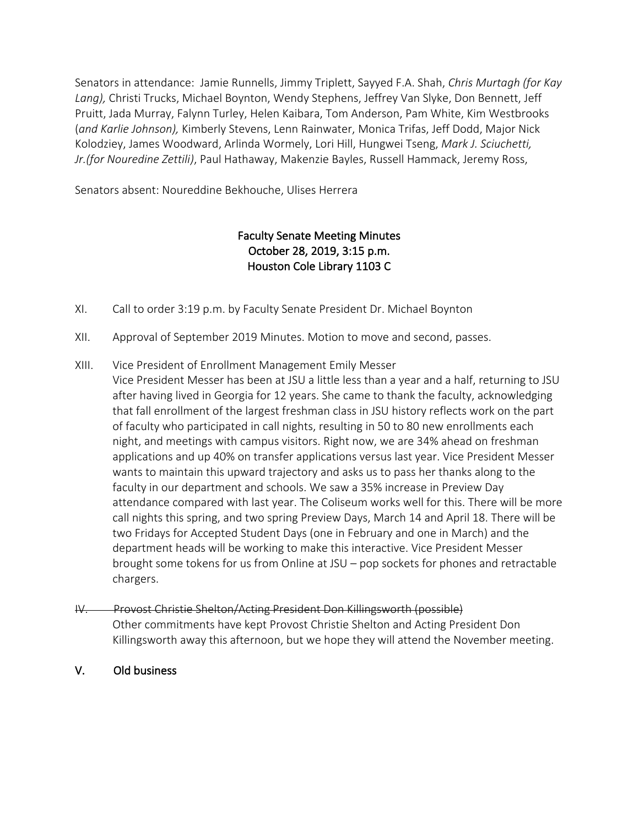Senators in attendance: Jamie Runnells, Jimmy Triplett, Sayyed F.A. Shah, *Chris Murtagh (for Kay Lang),* Christi Trucks, Michael Boynton, Wendy Stephens, Jeffrey Van Slyke, Don Bennett, Jeff Pruitt, Jada Murray, Falynn Turley, Helen Kaibara, Tom Anderson, Pam White, Kim Westbrooks (*and Karlie Johnson),* Kimberly Stevens, Lenn Rainwater, Monica Trifas, Jeff Dodd, Major Nick Kolodziey, James Woodward, Arlinda Wormely, Lori Hill, Hungwei Tseng, *Mark J. Sciuchetti, Jr.(for Nouredine Zettili)*, Paul Hathaway, Makenzie Bayles, Russell Hammack, Jeremy Ross,

Senators absent: Noureddine Bekhouche, Ulises Herrera

# Faculty Senate Meeting Minutes October 28, 2019, 3:15 p.m. Houston Cole Library 1103 C

- XI. Call to order 3:19 p.m. by Faculty Senate President Dr. Michael Boynton
- XII. Approval of September 2019 Minutes. Motion to move and second, passes.
- XIII. Vice President of Enrollment Management Emily Messer
	- Vice President Messer has been at JSU a little less than a year and a half, returning to JSU after having lived in Georgia for 12 years. She came to thank the faculty, acknowledging that fall enrollment of the largest freshman class in JSU history reflects work on the part of faculty who participated in call nights, resulting in 50 to 80 new enrollments each night, and meetings with campus visitors. Right now, we are 34% ahead on freshman applications and up 40% on transfer applications versus last year. Vice President Messer wants to maintain this upward trajectory and asks us to pass her thanks along to the faculty in our department and schools. We saw a 35% increase in Preview Day attendance compared with last year. The Coliseum works well for this. There will be more call nights this spring, and two spring Preview Days, March 14 and April 18. There will be two Fridays for Accepted Student Days (one in February and one in March) and the department heads will be working to make this interactive. Vice President Messer brought some tokens for us from Online at JSU – pop sockets for phones and retractable chargers.
- IV. Provost Christie Shelton/Acting President Don Killingsworth (possible) Other commitments have kept Provost Christie Shelton and Acting President Don Killingsworth away this afternoon, but we hope they will attend the November meeting.
- V. Old business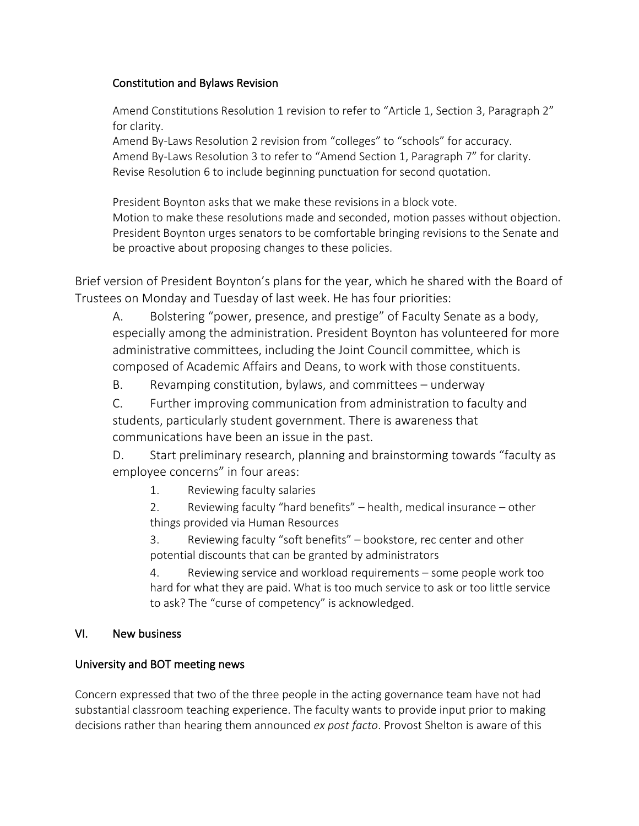#### Constitution and Bylaws Revision

Amend Constitutions Resolution 1 revision to refer to "Article 1, Section 3, Paragraph 2" for clarity.

Amend By-Laws Resolution 2 revision from "colleges" to "schools" for accuracy. Amend By-Laws Resolution 3 to refer to "Amend Section 1, Paragraph 7" for clarity. Revise Resolution 6 to include beginning punctuation for second quotation.

President Boynton asks that we make these revisions in a block vote. Motion to make these resolutions made and seconded, motion passes without objection. President Boynton urges senators to be comfortable bringing revisions to the Senate and be proactive about proposing changes to these policies.

Brief version of President Boynton's plans for the year, which he shared with the Board of Trustees on Monday and Tuesday of last week. He has four priorities:

A. Bolstering "power, presence, and prestige" of Faculty Senate as a body, especially among the administration. President Boynton has volunteered for more administrative committees, including the Joint Council committee, which is composed of Academic Affairs and Deans, to work with those constituents.

B. Revamping constitution, bylaws, and committees – underway

C. Further improving communication from administration to faculty and students, particularly student government. There is awareness that communications have been an issue in the past.

D. Start preliminary research, planning and brainstorming towards "faculty as employee concerns" in four areas:

1. Reviewing faculty salaries

2. Reviewing faculty "hard benefits" – health, medical insurance – other things provided via Human Resources

3. Reviewing faculty "soft benefits" – bookstore, rec center and other potential discounts that can be granted by administrators

4. Reviewing service and workload requirements – some people work too hard for what they are paid. What is too much service to ask or too little service to ask? The "curse of competency" is acknowledged.

### VI. New business

### University and BOT meeting news

Concern expressed that two of the three people in the acting governance team have not had substantial classroom teaching experience. The faculty wants to provide input prior to making decisions rather than hearing them announced *ex post facto*. Provost Shelton is aware of this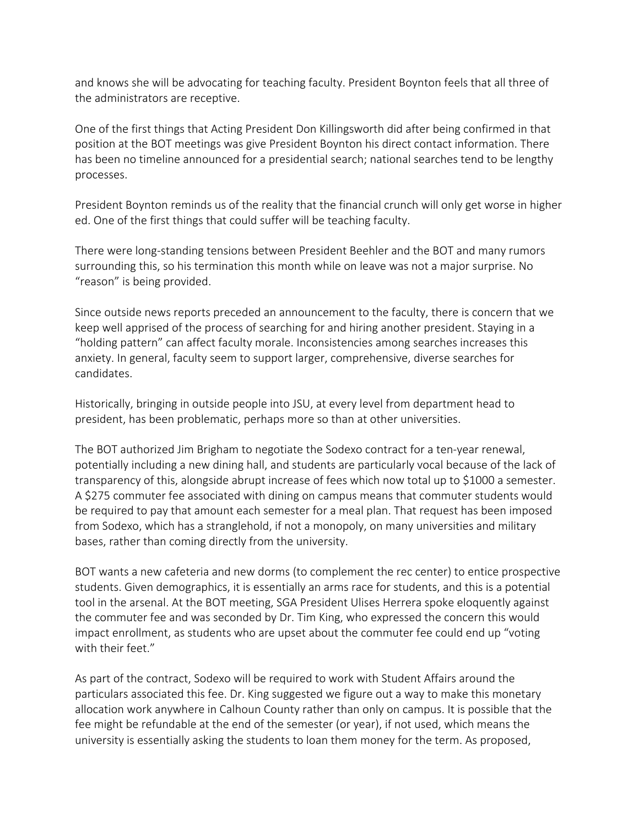and knows she will be advocating for teaching faculty. President Boynton feels that all three of the administrators are receptive.

One of the first things that Acting President Don Killingsworth did after being confirmed in that position at the BOT meetings was give President Boynton his direct contact information. There has been no timeline announced for a presidential search; national searches tend to be lengthy processes.

President Boynton reminds us of the reality that the financial crunch will only get worse in higher ed. One of the first things that could suffer will be teaching faculty.

There were long-standing tensions between President Beehler and the BOT and many rumors surrounding this, so his termination this month while on leave was not a major surprise. No "reason" is being provided.

Since outside news reports preceded an announcement to the faculty, there is concern that we keep well apprised of the process of searching for and hiring another president. Staying in a "holding pattern" can affect faculty morale. Inconsistencies among searches increases this anxiety. In general, faculty seem to support larger, comprehensive, diverse searches for candidates.

Historically, bringing in outside people into JSU, at every level from department head to president, has been problematic, perhaps more so than at other universities.

The BOT authorized Jim Brigham to negotiate the Sodexo contract for a ten-year renewal, potentially including a new dining hall, and students are particularly vocal because of the lack of transparency of this, alongside abrupt increase of fees which now total up to \$1000 a semester. A \$275 commuter fee associated with dining on campus means that commuter students would be required to pay that amount each semester for a meal plan. That request has been imposed from Sodexo, which has a stranglehold, if not a monopoly, on many universities and military bases, rather than coming directly from the university.

BOT wants a new cafeteria and new dorms (to complement the rec center) to entice prospective students. Given demographics, it is essentially an arms race for students, and this is a potential tool in the arsenal. At the BOT meeting, SGA President Ulises Herrera spoke eloquently against the commuter fee and was seconded by Dr. Tim King, who expressed the concern this would impact enrollment, as students who are upset about the commuter fee could end up "voting with their feet."

As part of the contract, Sodexo will be required to work with Student Affairs around the particulars associated this fee. Dr. King suggested we figure out a way to make this monetary allocation work anywhere in Calhoun County rather than only on campus. It is possible that the fee might be refundable at the end of the semester (or year), if not used, which means the university is essentially asking the students to loan them money for the term. As proposed,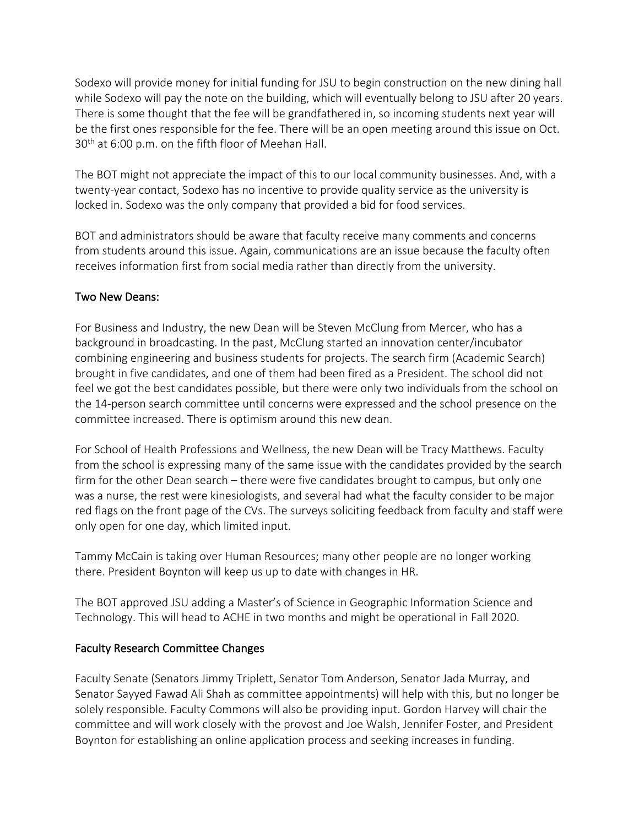Sodexo will provide money for initial funding for JSU to begin construction on the new dining hall while Sodexo will pay the note on the building, which will eventually belong to JSU after 20 years. There is some thought that the fee will be grandfathered in, so incoming students next year will be the first ones responsible for the fee. There will be an open meeting around this issue on Oct. 30<sup>th</sup> at 6:00 p.m. on the fifth floor of Meehan Hall.

The BOT might not appreciate the impact of this to our local community businesses. And, with a twenty-year contact, Sodexo has no incentive to provide quality service as the university is locked in. Sodexo was the only company that provided a bid for food services.

BOT and administrators should be aware that faculty receive many comments and concerns from students around this issue. Again, communications are an issue because the faculty often receives information first from social media rather than directly from the university.

### Two New Deans:

For Business and Industry, the new Dean will be Steven McClung from Mercer, who has a background in broadcasting. In the past, McClung started an innovation center/incubator combining engineering and business students for projects. The search firm (Academic Search) brought in five candidates, and one of them had been fired as a President. The school did not feel we got the best candidates possible, but there were only two individuals from the school on the 14-person search committee until concerns were expressed and the school presence on the committee increased. There is optimism around this new dean.

For School of Health Professions and Wellness, the new Dean will be Tracy Matthews. Faculty from the school is expressing many of the same issue with the candidates provided by the search firm for the other Dean search – there were five candidates brought to campus, but only one was a nurse, the rest were kinesiologists, and several had what the faculty consider to be major red flags on the front page of the CVs. The surveys soliciting feedback from faculty and staff were only open for one day, which limited input.

Tammy McCain is taking over Human Resources; many other people are no longer working there. President Boynton will keep us up to date with changes in HR.

The BOT approved JSU adding a Master's of Science in Geographic Information Science and Technology. This will head to ACHE in two months and might be operational in Fall 2020.

### Faculty Research Committee Changes

Faculty Senate (Senators Jimmy Triplett, Senator Tom Anderson, Senator Jada Murray, and Senator Sayyed Fawad Ali Shah as committee appointments) will help with this, but no longer be solely responsible. Faculty Commons will also be providing input. Gordon Harvey will chair the committee and will work closely with the provost and Joe Walsh, Jennifer Foster, and President Boynton for establishing an online application process and seeking increases in funding.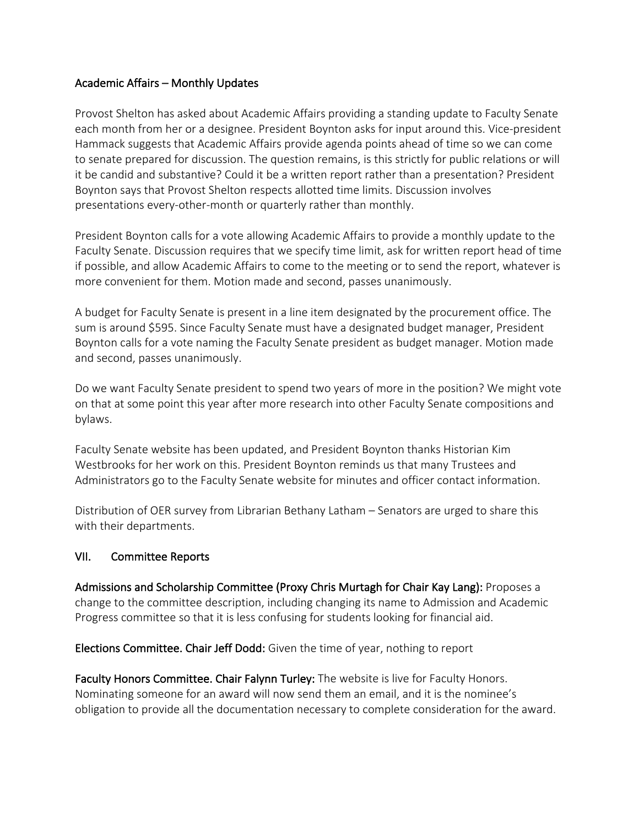#### Academic Affairs – Monthly Updates

Provost Shelton has asked about Academic Affairs providing a standing update to Faculty Senate each month from her or a designee. President Boynton asks for input around this. Vice-president Hammack suggests that Academic Affairs provide agenda points ahead of time so we can come to senate prepared for discussion. The question remains, is this strictly for public relations or will it be candid and substantive? Could it be a written report rather than a presentation? President Boynton says that Provost Shelton respects allotted time limits. Discussion involves presentations every-other-month or quarterly rather than monthly.

President Boynton calls for a vote allowing Academic Affairs to provide a monthly update to the Faculty Senate. Discussion requires that we specify time limit, ask for written report head of time if possible, and allow Academic Affairs to come to the meeting or to send the report, whatever is more convenient for them. Motion made and second, passes unanimously.

A budget for Faculty Senate is present in a line item designated by the procurement office. The sum is around \$595. Since Faculty Senate must have a designated budget manager, President Boynton calls for a vote naming the Faculty Senate president as budget manager. Motion made and second, passes unanimously.

Do we want Faculty Senate president to spend two years of more in the position? We might vote on that at some point this year after more research into other Faculty Senate compositions and bylaws.

Faculty Senate website has been updated, and President Boynton thanks Historian Kim Westbrooks for her work on this. President Boynton reminds us that many Trustees and Administrators go to the Faculty Senate website for minutes and officer contact information.

Distribution of OER survey from Librarian Bethany Latham – Senators are urged to share this with their departments.

### VII. Committee Reports

Admissions and Scholarship Committee (Proxy Chris Murtagh for Chair Kay Lang): Proposes a change to the committee description, including changing its name to Admission and Academic Progress committee so that it is less confusing for students looking for financial aid.

Elections Committee. Chair Jeff Dodd: Given the time of year, nothing to report

Faculty Honors Committee. Chair Falynn Turley: The website is live for Faculty Honors. Nominating someone for an award will now send them an email, and it is the nominee's obligation to provide all the documentation necessary to complete consideration for the award.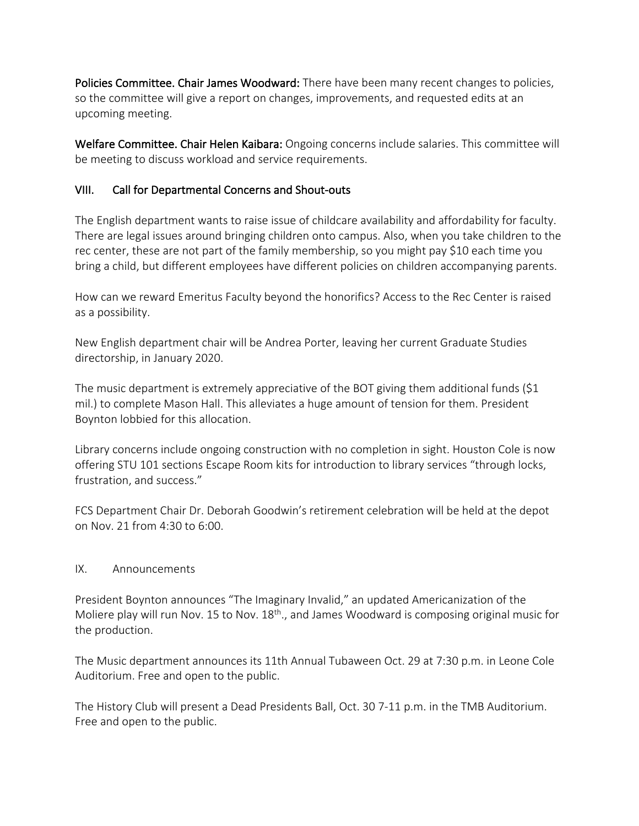Policies Committee. Chair James Woodward: There have been many recent changes to policies, so the committee will give a report on changes, improvements, and requested edits at an upcoming meeting.

Welfare Committee. Chair Helen Kaibara: Ongoing concerns include salaries. This committee will be meeting to discuss workload and service requirements.

## VIII. Call for Departmental Concerns and Shout-outs

The English department wants to raise issue of childcare availability and affordability for faculty. There are legal issues around bringing children onto campus. Also, when you take children to the rec center, these are not part of the family membership, so you might pay \$10 each time you bring a child, but different employees have different policies on children accompanying parents.

How can we reward Emeritus Faculty beyond the honorifics? Access to the Rec Center is raised as a possibility.

New English department chair will be Andrea Porter, leaving her current Graduate Studies directorship, in January 2020.

The music department is extremely appreciative of the BOT giving them additional funds (\$1 mil.) to complete Mason Hall. This alleviates a huge amount of tension for them. President Boynton lobbied for this allocation.

Library concerns include ongoing construction with no completion in sight. Houston Cole is now offering STU 101 sections Escape Room kits for introduction to library services "through locks, frustration, and success."

FCS Department Chair Dr. Deborah Goodwin's retirement celebration will be held at the depot on Nov. 21 from 4:30 to 6:00.

### IX. Announcements

President Boynton announces "The Imaginary Invalid," an updated Americanization of the Moliere play will run Nov. 15 to Nov. 18<sup>th</sup>., and James Woodward is composing original music for the production.

The Music department announces its 11th Annual Tubaween Oct. 29 at 7:30 p.m. in Leone Cole Auditorium. Free and open to the public.

The History Club will present a Dead Presidents Ball, Oct. 30 7-11 p.m. in the TMB Auditorium. Free and open to the public.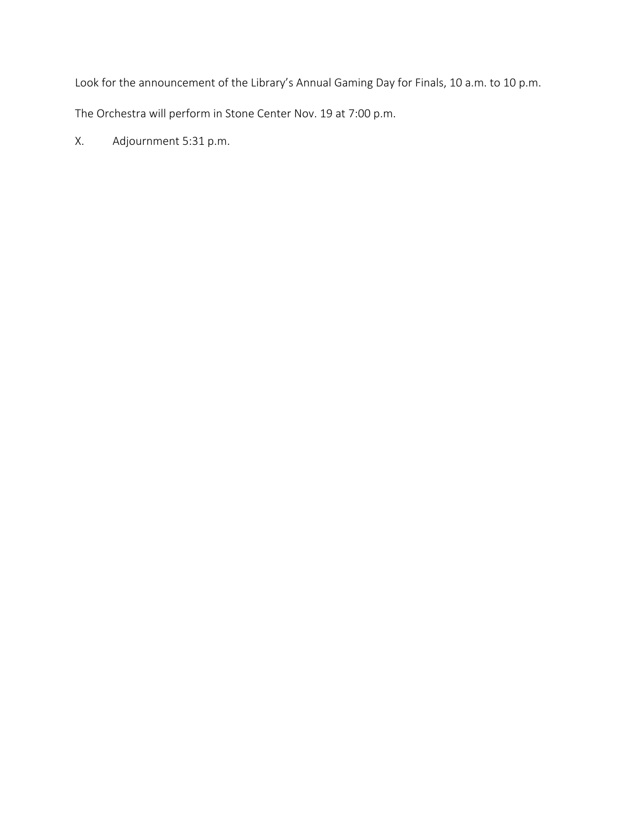Look for the announcement of the Library's Annual Gaming Day for Finals, 10 a.m. to 10 p.m.

The Orchestra will perform in Stone Center Nov. 19 at 7:00 p.m.

X. Adjournment 5:31 p.m.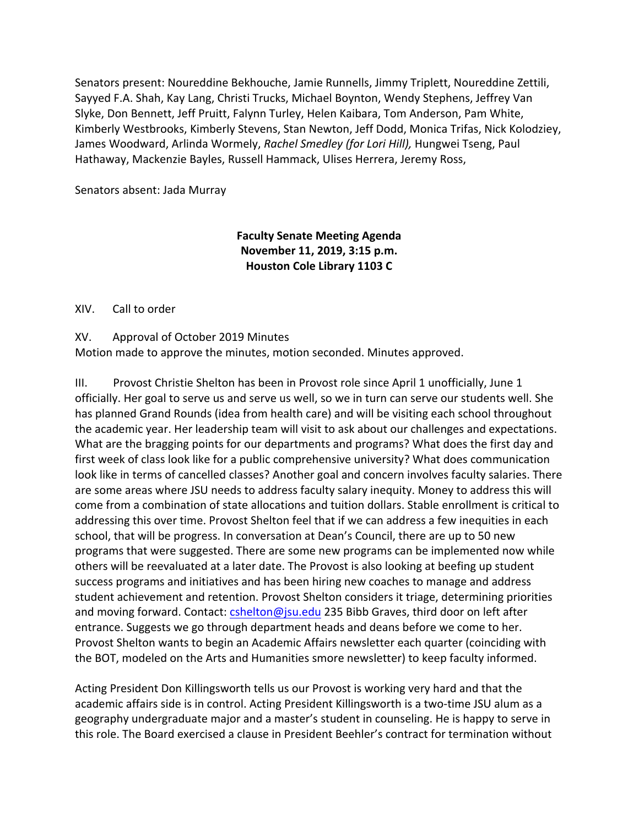Senators present: Noureddine Bekhouche, Jamie Runnells, Jimmy Triplett, Noureddine Zettili, Sayyed F.A. Shah, Kay Lang, Christi Trucks, Michael Boynton, Wendy Stephens, Jeffrey Van Slyke, Don Bennett, Jeff Pruitt, Falynn Turley, Helen Kaibara, Tom Anderson, Pam White, Kimberly Westbrooks, Kimberly Stevens, Stan Newton, Jeff Dodd, Monica Trifas, Nick Kolodziey, James Woodward, Arlinda Wormely, *Rachel Smedley (for Lori Hill),* Hungwei Tseng, Paul Hathaway, Mackenzie Bayles, Russell Hammack, Ulises Herrera, Jeremy Ross,

Senators absent: Jada Murray

### **Faculty Senate Meeting Agenda November 11, 2019, 3:15 p.m. Houston Cole Library 1103 C**

#### XIV. Call to order

XV. Approval of October 2019 Minutes Motion made to approve the minutes, motion seconded. Minutes approved.

III. Provost Christie Shelton has been in Provost role since April 1 unofficially, June 1 officially. Her goal to serve us and serve us well, so we in turn can serve our students well. She has planned Grand Rounds (idea from health care) and will be visiting each school throughout the academic year. Her leadership team will visit to ask about our challenges and expectations. What are the bragging points for our departments and programs? What does the first day and first week of class look like for a public comprehensive university? What does communication look like in terms of cancelled classes? Another goal and concern involves faculty salaries. There are some areas where JSU needs to address faculty salary inequity. Money to address this will come from a combination of state allocations and tuition dollars. Stable enrollment is critical to addressing this over time. Provost Shelton feel that if we can address a few inequities in each school, that will be progress. In conversation at Dean's Council, there are up to 50 new programs that were suggested. There are some new programs can be implemented now while others will be reevaluated at a later date. The Provost is also looking at beefing up student success programs and initiatives and has been hiring new coaches to manage and address student achievement and retention. Provost Shelton considers it triage, determining priorities and moving forward. Contact: cshelton@jsu.edu 235 Bibb Graves, third door on left after entrance. Suggests we go through department heads and deans before we come to her. Provost Shelton wants to begin an Academic Affairs newsletter each quarter (coinciding with the BOT, modeled on the Arts and Humanities smore newsletter) to keep faculty informed.

Acting President Don Killingsworth tells us our Provost is working very hard and that the academic affairs side is in control. Acting President Killingsworth is a two-time JSU alum as a geography undergraduate major and a master's student in counseling. He is happy to serve in this role. The Board exercised a clause in President Beehler's contract for termination without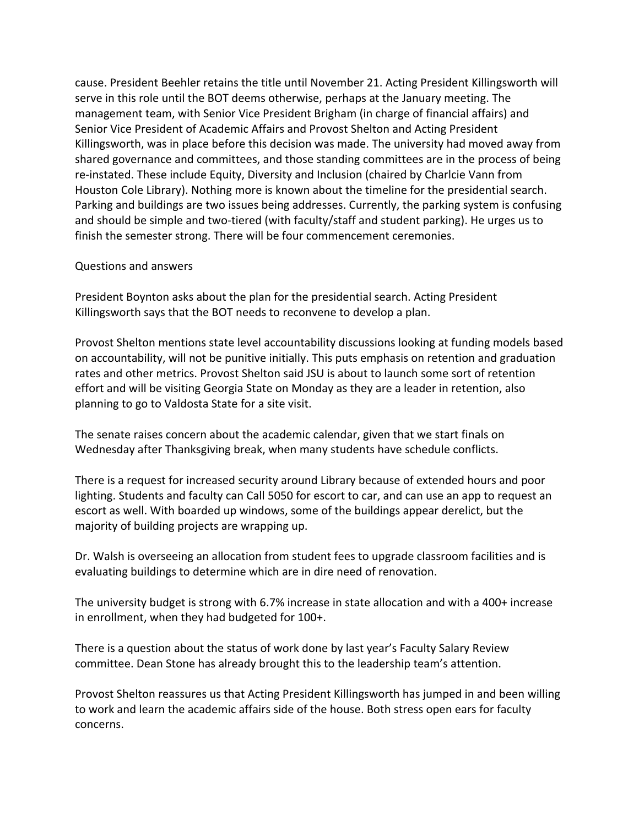cause. President Beehler retains the title until November 21. Acting President Killingsworth will serve in this role until the BOT deems otherwise, perhaps at the January meeting. The management team, with Senior Vice President Brigham (in charge of financial affairs) and Senior Vice President of Academic Affairs and Provost Shelton and Acting President Killingsworth, was in place before this decision was made. The university had moved away from shared governance and committees, and those standing committees are in the process of being re-instated. These include Equity, Diversity and Inclusion (chaired by Charlcie Vann from Houston Cole Library). Nothing more is known about the timeline for the presidential search. Parking and buildings are two issues being addresses. Currently, the parking system is confusing and should be simple and two-tiered (with faculty/staff and student parking). He urges us to finish the semester strong. There will be four commencement ceremonies.

#### Questions and answers

President Boynton asks about the plan for the presidential search. Acting President Killingsworth says that the BOT needs to reconvene to develop a plan.

Provost Shelton mentions state level accountability discussions looking at funding models based on accountability, will not be punitive initially. This puts emphasis on retention and graduation rates and other metrics. Provost Shelton said JSU is about to launch some sort of retention effort and will be visiting Georgia State on Monday as they are a leader in retention, also planning to go to Valdosta State for a site visit.

The senate raises concern about the academic calendar, given that we start finals on Wednesday after Thanksgiving break, when many students have schedule conflicts.

There is a request for increased security around Library because of extended hours and poor lighting. Students and faculty can Call 5050 for escort to car, and can use an app to request an escort as well. With boarded up windows, some of the buildings appear derelict, but the majority of building projects are wrapping up.

Dr. Walsh is overseeing an allocation from student fees to upgrade classroom facilities and is evaluating buildings to determine which are in dire need of renovation.

The university budget is strong with 6.7% increase in state allocation and with a 400+ increase in enrollment, when they had budgeted for 100+.

There is a question about the status of work done by last year's Faculty Salary Review committee. Dean Stone has already brought this to the leadership team's attention.

Provost Shelton reassures us that Acting President Killingsworth has jumped in and been willing to work and learn the academic affairs side of the house. Both stress open ears for faculty concerns.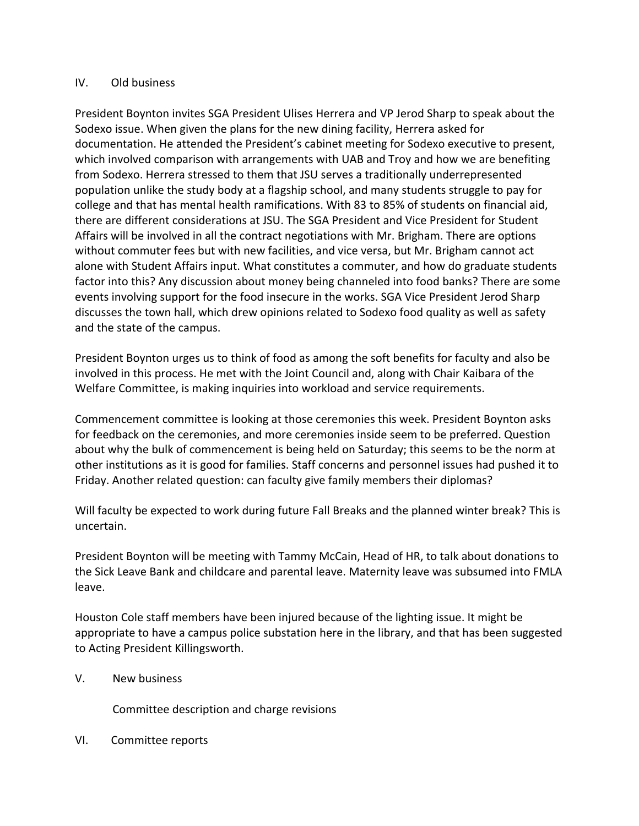#### IV. Old business

President Boynton invites SGA President Ulises Herrera and VP Jerod Sharp to speak about the Sodexo issue. When given the plans for the new dining facility, Herrera asked for documentation. He attended the President's cabinet meeting for Sodexo executive to present, which involved comparison with arrangements with UAB and Troy and how we are benefiting from Sodexo. Herrera stressed to them that JSU serves a traditionally underrepresented population unlike the study body at a flagship school, and many students struggle to pay for college and that has mental health ramifications. With 83 to 85% of students on financial aid, there are different considerations at JSU. The SGA President and Vice President for Student Affairs will be involved in all the contract negotiations with Mr. Brigham. There are options without commuter fees but with new facilities, and vice versa, but Mr. Brigham cannot act alone with Student Affairs input. What constitutes a commuter, and how do graduate students factor into this? Any discussion about money being channeled into food banks? There are some events involving support for the food insecure in the works. SGA Vice President Jerod Sharp discusses the town hall, which drew opinions related to Sodexo food quality as well as safety and the state of the campus.

President Boynton urges us to think of food as among the soft benefits for faculty and also be involved in this process. He met with the Joint Council and, along with Chair Kaibara of the Welfare Committee, is making inquiries into workload and service requirements.

Commencement committee is looking at those ceremonies this week. President Boynton asks for feedback on the ceremonies, and more ceremonies inside seem to be preferred. Question about why the bulk of commencement is being held on Saturday; this seems to be the norm at other institutions as it is good for families. Staff concerns and personnel issues had pushed it to Friday. Another related question: can faculty give family members their diplomas?

Will faculty be expected to work during future Fall Breaks and the planned winter break? This is uncertain.

President Boynton will be meeting with Tammy McCain, Head of HR, to talk about donations to the Sick Leave Bank and childcare and parental leave. Maternity leave was subsumed into FMLA leave.

Houston Cole staff members have been injured because of the lighting issue. It might be appropriate to have a campus police substation here in the library, and that has been suggested to Acting President Killingsworth.

### V. New business

Committee description and charge revisions

VI. Committee reports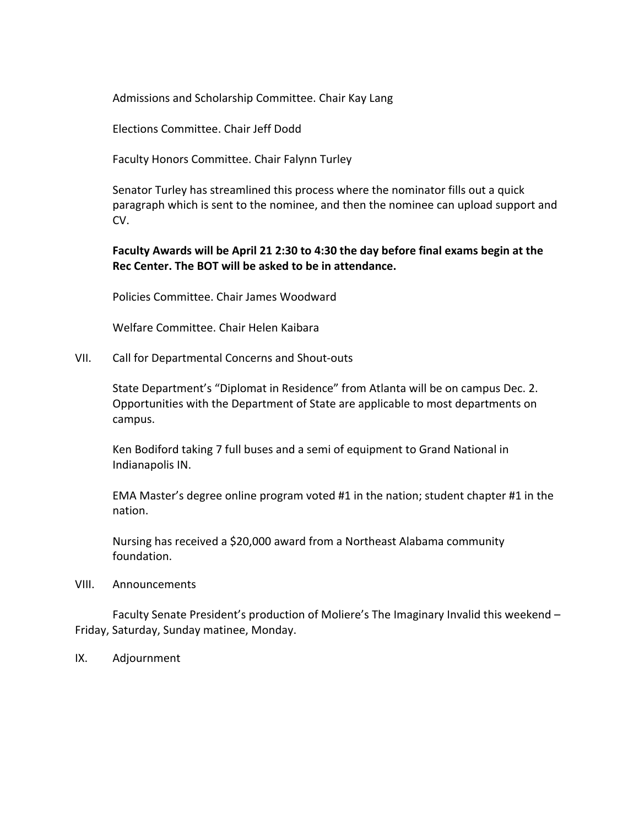Admissions and Scholarship Committee. Chair Kay Lang

Elections Committee. Chair Jeff Dodd

Faculty Honors Committee. Chair Falynn Turley

Senator Turley has streamlined this process where the nominator fills out a quick paragraph which is sent to the nominee, and then the nominee can upload support and CV.

#### **Faculty Awards will be April 21 2:30 to 4:30 the day before final exams begin at the Rec Center. The BOT will be asked to be in attendance.**

Policies Committee. Chair James Woodward

Welfare Committee. Chair Helen Kaibara

VII. Call for Departmental Concerns and Shout-outs

State Department's "Diplomat in Residence" from Atlanta will be on campus Dec. 2. Opportunities with the Department of State are applicable to most departments on campus.

Ken Bodiford taking 7 full buses and a semi of equipment to Grand National in Indianapolis IN.

EMA Master's degree online program voted #1 in the nation; student chapter #1 in the nation.

Nursing has received a \$20,000 award from a Northeast Alabama community foundation.

VIII. Announcements

Faculty Senate President's production of Moliere's The Imaginary Invalid this weekend – Friday, Saturday, Sunday matinee, Monday.

IX. Adjournment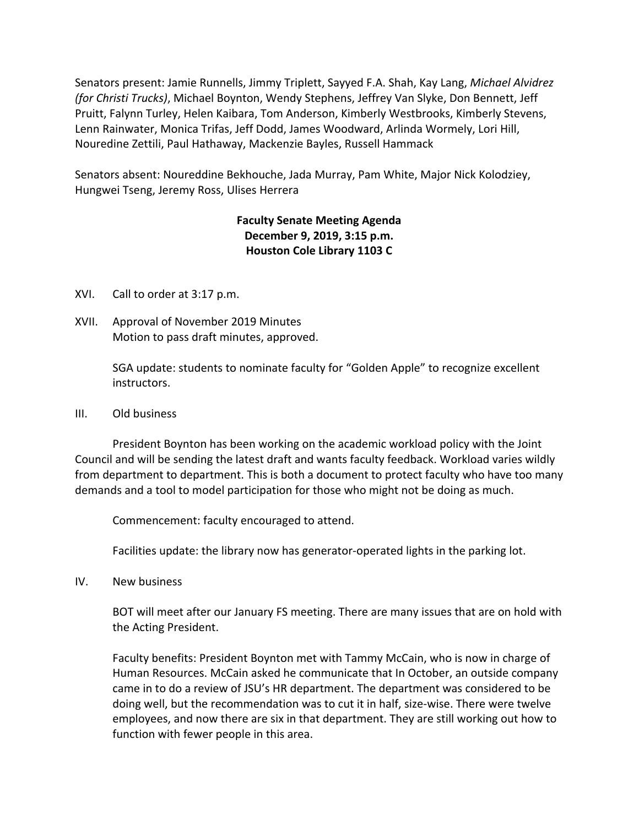Senators present: Jamie Runnells, Jimmy Triplett, Sayyed F.A. Shah, Kay Lang, *Michael Alvidrez (for Christi Trucks)*, Michael Boynton, Wendy Stephens, Jeffrey Van Slyke, Don Bennett, Jeff Pruitt, Falynn Turley, Helen Kaibara, Tom Anderson, Kimberly Westbrooks, Kimberly Stevens, Lenn Rainwater, Monica Trifas, Jeff Dodd, James Woodward, Arlinda Wormely, Lori Hill, Nouredine Zettili, Paul Hathaway, Mackenzie Bayles, Russell Hammack

Senators absent: Noureddine Bekhouche, Jada Murray, Pam White, Major Nick Kolodziey, Hungwei Tseng, Jeremy Ross, Ulises Herrera

# **Faculty Senate Meeting Agenda December 9, 2019, 3:15 p.m. Houston Cole Library 1103 C**

- XVI. Call to order at 3:17 p.m.
- XVII. Approval of November 2019 Minutes Motion to pass draft minutes, approved.

SGA update: students to nominate faculty for "Golden Apple" to recognize excellent instructors.

III. Old business

President Boynton has been working on the academic workload policy with the Joint Council and will be sending the latest draft and wants faculty feedback. Workload varies wildly from department to department. This is both a document to protect faculty who have too many demands and a tool to model participation for those who might not be doing as much.

Commencement: faculty encouraged to attend.

Facilities update: the library now has generator-operated lights in the parking lot.

IV. New business

BOT will meet after our January FS meeting. There are many issues that are on hold with the Acting President.

Faculty benefits: President Boynton met with Tammy McCain, who is now in charge of Human Resources. McCain asked he communicate that In October, an outside company came in to do a review of JSU's HR department. The department was considered to be doing well, but the recommendation was to cut it in half, size-wise. There were twelve employees, and now there are six in that department. They are still working out how to function with fewer people in this area.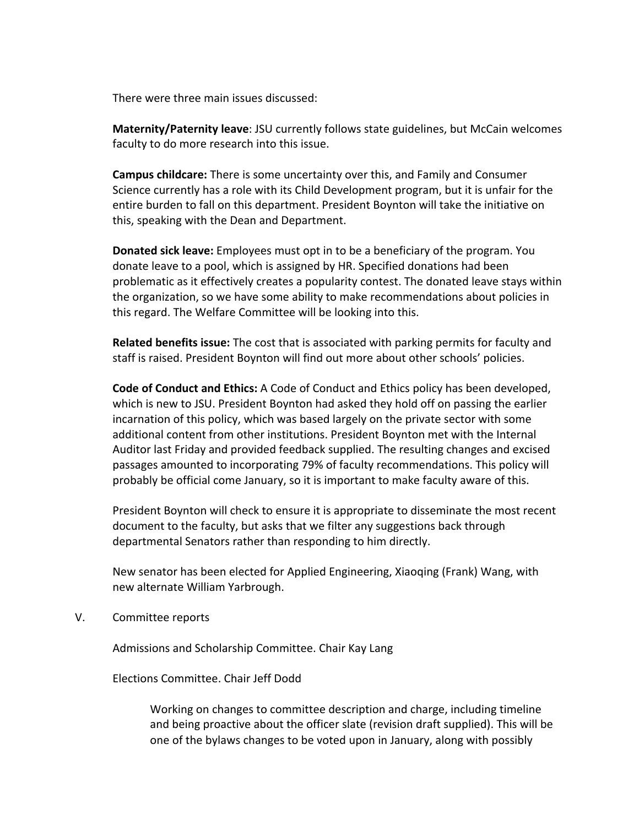There were three main issues discussed:

**Maternity/Paternity leave**: JSU currently follows state guidelines, but McCain welcomes faculty to do more research into this issue.

**Campus childcare:** There is some uncertainty over this, and Family and Consumer Science currently has a role with its Child Development program, but it is unfair for the entire burden to fall on this department. President Boynton will take the initiative on this, speaking with the Dean and Department.

**Donated sick leave:** Employees must opt in to be a beneficiary of the program. You donate leave to a pool, which is assigned by HR. Specified donations had been problematic as it effectively creates a popularity contest. The donated leave stays within the organization, so we have some ability to make recommendations about policies in this regard. The Welfare Committee will be looking into this.

**Related benefits issue:** The cost that is associated with parking permits for faculty and staff is raised. President Boynton will find out more about other schools' policies.

**Code of Conduct and Ethics:** A Code of Conduct and Ethics policy has been developed, which is new to JSU. President Boynton had asked they hold off on passing the earlier incarnation of this policy, which was based largely on the private sector with some additional content from other institutions. President Boynton met with the Internal Auditor last Friday and provided feedback supplied. The resulting changes and excised passages amounted to incorporating 79% of faculty recommendations. This policy will probably be official come January, so it is important to make faculty aware of this.

President Boynton will check to ensure it is appropriate to disseminate the most recent document to the faculty, but asks that we filter any suggestions back through departmental Senators rather than responding to him directly.

New senator has been elected for Applied Engineering, Xiaoqing (Frank) Wang, with new alternate William Yarbrough.

V. Committee reports

Admissions and Scholarship Committee. Chair Kay Lang

Elections Committee. Chair Jeff Dodd

Working on changes to committee description and charge, including timeline and being proactive about the officer slate (revision draft supplied). This will be one of the bylaws changes to be voted upon in January, along with possibly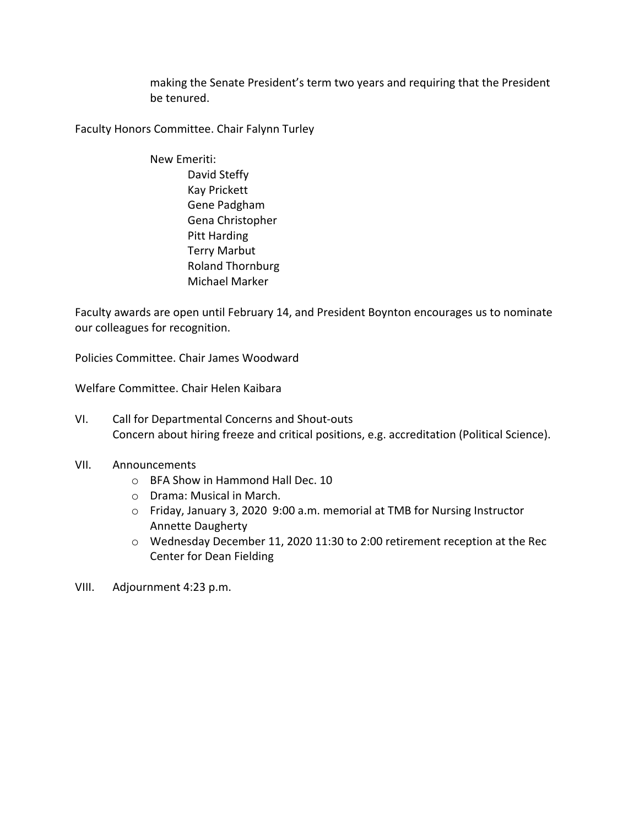making the Senate President's term two years and requiring that the President be tenured.

Faculty Honors Committee. Chair Falynn Turley

New Emeriti: David Steffy Kay Prickett Gene Padgham Gena Christopher Pitt Harding Terry Marbut Roland Thornburg Michael Marker

Faculty awards are open until February 14, and President Boynton encourages us to nominate our colleagues for recognition.

Policies Committee. Chair James Woodward

Welfare Committee. Chair Helen Kaibara

- VI. Call for Departmental Concerns and Shout-outs Concern about hiring freeze and critical positions, e.g. accreditation (Political Science).
- VII. Announcements
	- o BFA Show in Hammond Hall Dec. 10
	- o Drama: Musical in March.
	- o Friday, January 3, 2020 9:00 a.m. memorial at TMB for Nursing Instructor Annette Daugherty
	- o Wednesday December 11, 2020 11:30 to 2:00 retirement reception at the Rec Center for Dean Fielding
- VIII. Adjournment 4:23 p.m.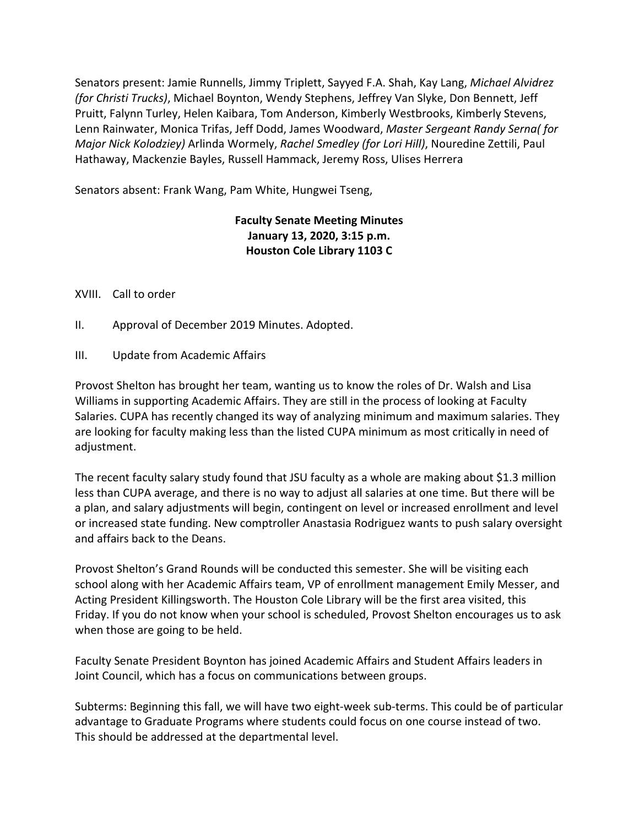Senators present: Jamie Runnells, Jimmy Triplett, Sayyed F.A. Shah, Kay Lang, *Michael Alvidrez (for Christi Trucks)*, Michael Boynton, Wendy Stephens, Jeffrey Van Slyke, Don Bennett, Jeff Pruitt, Falynn Turley, Helen Kaibara, Tom Anderson, Kimberly Westbrooks, Kimberly Stevens, Lenn Rainwater, Monica Trifas, Jeff Dodd, James Woodward, *Master Sergeant Randy Serna( for Major Nick Kolodziey)* Arlinda Wormely, *Rachel Smedley (for Lori Hill)*, Nouredine Zettili, Paul Hathaway, Mackenzie Bayles, Russell Hammack, Jeremy Ross, Ulises Herrera

Senators absent: Frank Wang, Pam White, Hungwei Tseng,

## **Faculty Senate Meeting Minutes January 13, 2020, 3:15 p.m. Houston Cole Library 1103 C**

#### XVIII. Call to order

- II. Approval of December 2019 Minutes. Adopted.
- III. Update from Academic Affairs

Provost Shelton has brought her team, wanting us to know the roles of Dr. Walsh and Lisa Williams in supporting Academic Affairs. They are still in the process of looking at Faculty Salaries. CUPA has recently changed its way of analyzing minimum and maximum salaries. They are looking for faculty making less than the listed CUPA minimum as most critically in need of adjustment.

The recent faculty salary study found that JSU faculty as a whole are making about \$1.3 million less than CUPA average, and there is no way to adjust all salaries at one time. But there will be a plan, and salary adjustments will begin, contingent on level or increased enrollment and level or increased state funding. New comptroller Anastasia Rodriguez wants to push salary oversight and affairs back to the Deans.

Provost Shelton's Grand Rounds will be conducted this semester. She will be visiting each school along with her Academic Affairs team, VP of enrollment management Emily Messer, and Acting President Killingsworth. The Houston Cole Library will be the first area visited, this Friday. If you do not know when your school is scheduled, Provost Shelton encourages us to ask when those are going to be held.

Faculty Senate President Boynton has joined Academic Affairs and Student Affairs leaders in Joint Council, which has a focus on communications between groups.

Subterms: Beginning this fall, we will have two eight-week sub-terms. This could be of particular advantage to Graduate Programs where students could focus on one course instead of two. This should be addressed at the departmental level.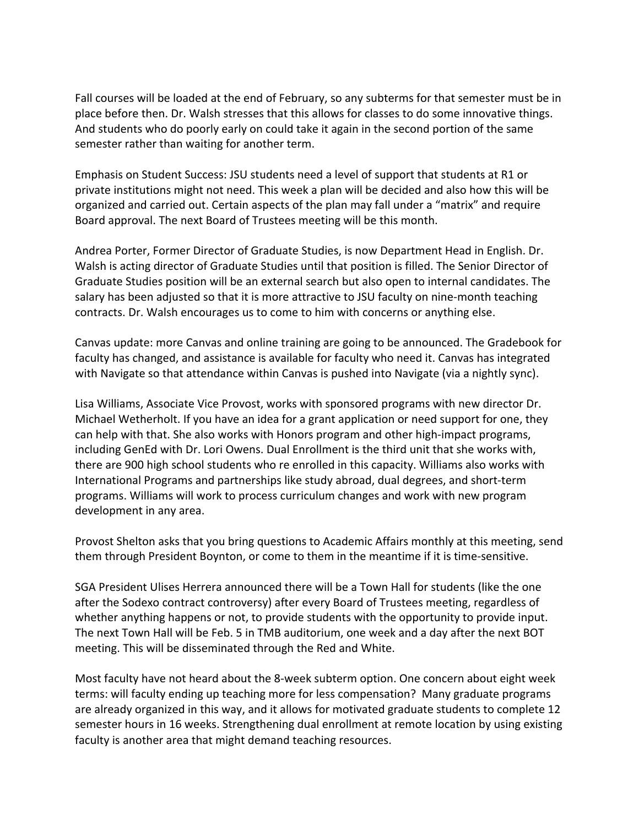Fall courses will be loaded at the end of February, so any subterms for that semester must be in place before then. Dr. Walsh stresses that this allows for classes to do some innovative things. And students who do poorly early on could take it again in the second portion of the same semester rather than waiting for another term.

Emphasis on Student Success: JSU students need a level of support that students at R1 or private institutions might not need. This week a plan will be decided and also how this will be organized and carried out. Certain aspects of the plan may fall under a "matrix" and require Board approval. The next Board of Trustees meeting will be this month.

Andrea Porter, Former Director of Graduate Studies, is now Department Head in English. Dr. Walsh is acting director of Graduate Studies until that position is filled. The Senior Director of Graduate Studies position will be an external search but also open to internal candidates. The salary has been adjusted so that it is more attractive to JSU faculty on nine-month teaching contracts. Dr. Walsh encourages us to come to him with concerns or anything else.

Canvas update: more Canvas and online training are going to be announced. The Gradebook for faculty has changed, and assistance is available for faculty who need it. Canvas has integrated with Navigate so that attendance within Canvas is pushed into Navigate (via a nightly sync).

Lisa Williams, Associate Vice Provost, works with sponsored programs with new director Dr. Michael Wetherholt. If you have an idea for a grant application or need support for one, they can help with that. She also works with Honors program and other high-impact programs, including GenEd with Dr. Lori Owens. Dual Enrollment is the third unit that she works with, there are 900 high school students who re enrolled in this capacity. Williams also works with International Programs and partnerships like study abroad, dual degrees, and short-term programs. Williams will work to process curriculum changes and work with new program development in any area.

Provost Shelton asks that you bring questions to Academic Affairs monthly at this meeting, send them through President Boynton, or come to them in the meantime if it is time-sensitive.

SGA President Ulises Herrera announced there will be a Town Hall for students (like the one after the Sodexo contract controversy) after every Board of Trustees meeting, regardless of whether anything happens or not, to provide students with the opportunity to provide input. The next Town Hall will be Feb. 5 in TMB auditorium, one week and a day after the next BOT meeting. This will be disseminated through the Red and White.

Most faculty have not heard about the 8-week subterm option. One concern about eight week terms: will faculty ending up teaching more for less compensation? Many graduate programs are already organized in this way, and it allows for motivated graduate students to complete 12 semester hours in 16 weeks. Strengthening dual enrollment at remote location by using existing faculty is another area that might demand teaching resources.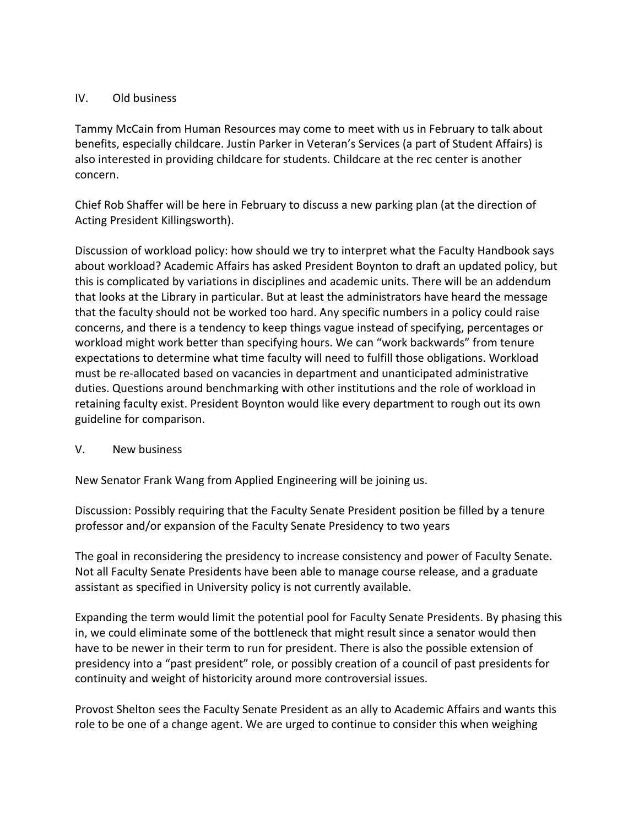#### IV. Old business

Tammy McCain from Human Resources may come to meet with us in February to talk about benefits, especially childcare. Justin Parker in Veteran's Services (a part of Student Affairs) is also interested in providing childcare for students. Childcare at the rec center is another concern.

Chief Rob Shaffer will be here in February to discuss a new parking plan (at the direction of Acting President Killingsworth).

Discussion of workload policy: how should we try to interpret what the Faculty Handbook says about workload? Academic Affairs has asked President Boynton to draft an updated policy, but this is complicated by variations in disciplines and academic units. There will be an addendum that looks at the Library in particular. But at least the administrators have heard the message that the faculty should not be worked too hard. Any specific numbers in a policy could raise concerns, and there is a tendency to keep things vague instead of specifying, percentages or workload might work better than specifying hours. We can "work backwards" from tenure expectations to determine what time faculty will need to fulfill those obligations. Workload must be re-allocated based on vacancies in department and unanticipated administrative duties. Questions around benchmarking with other institutions and the role of workload in retaining faculty exist. President Boynton would like every department to rough out its own guideline for comparison.

### V. New business

New Senator Frank Wang from Applied Engineering will be joining us.

Discussion: Possibly requiring that the Faculty Senate President position be filled by a tenure professor and/or expansion of the Faculty Senate Presidency to two years

The goal in reconsidering the presidency to increase consistency and power of Faculty Senate. Not all Faculty Senate Presidents have been able to manage course release, and a graduate assistant as specified in University policy is not currently available.

Expanding the term would limit the potential pool for Faculty Senate Presidents. By phasing this in, we could eliminate some of the bottleneck that might result since a senator would then have to be newer in their term to run for president. There is also the possible extension of presidency into a "past president" role, or possibly creation of a council of past presidents for continuity and weight of historicity around more controversial issues.

Provost Shelton sees the Faculty Senate President as an ally to Academic Affairs and wants this role to be one of a change agent. We are urged to continue to consider this when weighing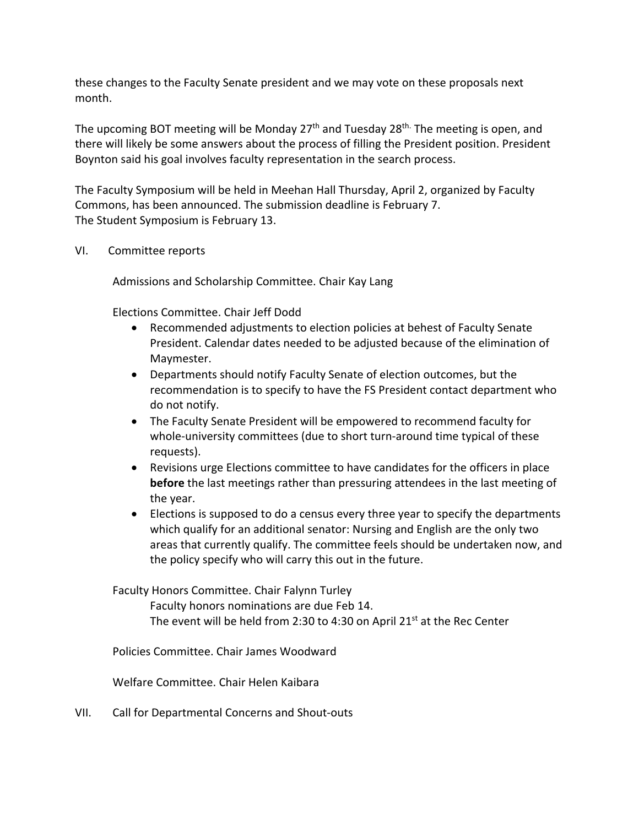these changes to the Faculty Senate president and we may vote on these proposals next month.

The upcoming BOT meeting will be Monday  $27<sup>th</sup>$  and Tuesday  $28<sup>th</sup>$ . The meeting is open, and there will likely be some answers about the process of filling the President position. President Boynton said his goal involves faculty representation in the search process.

The Faculty Symposium will be held in Meehan Hall Thursday, April 2, organized by Faculty Commons, has been announced. The submission deadline is February 7. The Student Symposium is February 13.

#### VI. Committee reports

Admissions and Scholarship Committee. Chair Kay Lang

Elections Committee. Chair Jeff Dodd

- Recommended adjustments to election policies at behest of Faculty Senate President. Calendar dates needed to be adjusted because of the elimination of Maymester.
- Departments should notify Faculty Senate of election outcomes, but the recommendation is to specify to have the FS President contact department who do not notify.
- The Faculty Senate President will be empowered to recommend faculty for whole-university committees (due to short turn-around time typical of these requests).
- Revisions urge Elections committee to have candidates for the officers in place **before** the last meetings rather than pressuring attendees in the last meeting of the year.
- Elections is supposed to do a census every three year to specify the departments which qualify for an additional senator: Nursing and English are the only two areas that currently qualify. The committee feels should be undertaken now, and the policy specify who will carry this out in the future.

Faculty Honors Committee. Chair Falynn Turley

Faculty honors nominations are due Feb 14. The event will be held from 2:30 to 4:30 on April 21<sup>st</sup> at the Rec Center

Policies Committee. Chair James Woodward

Welfare Committee. Chair Helen Kaibara

VII. Call for Departmental Concerns and Shout-outs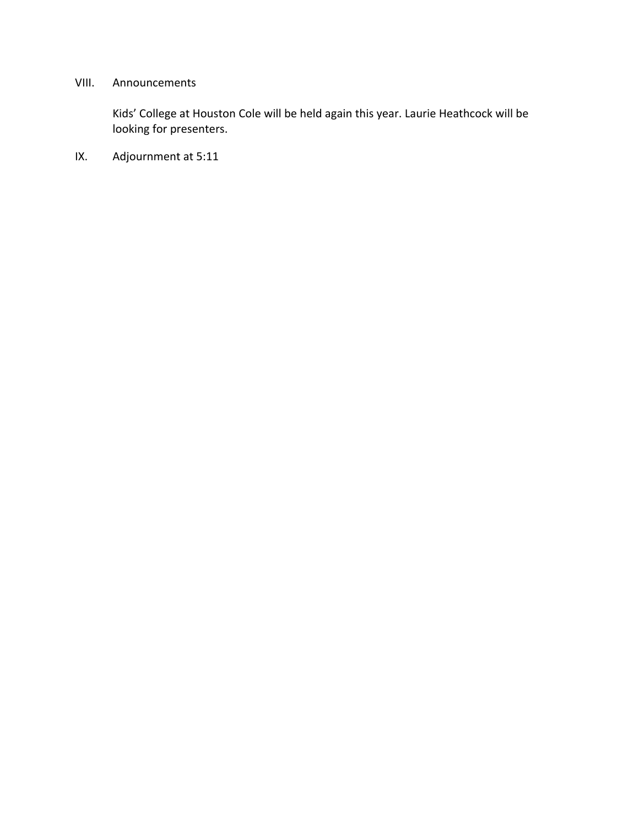# VIII. Announcements

Kids' College at Houston Cole will be held again this year. Laurie Heathcock will be looking for presenters.

IX. Adjournment at 5:11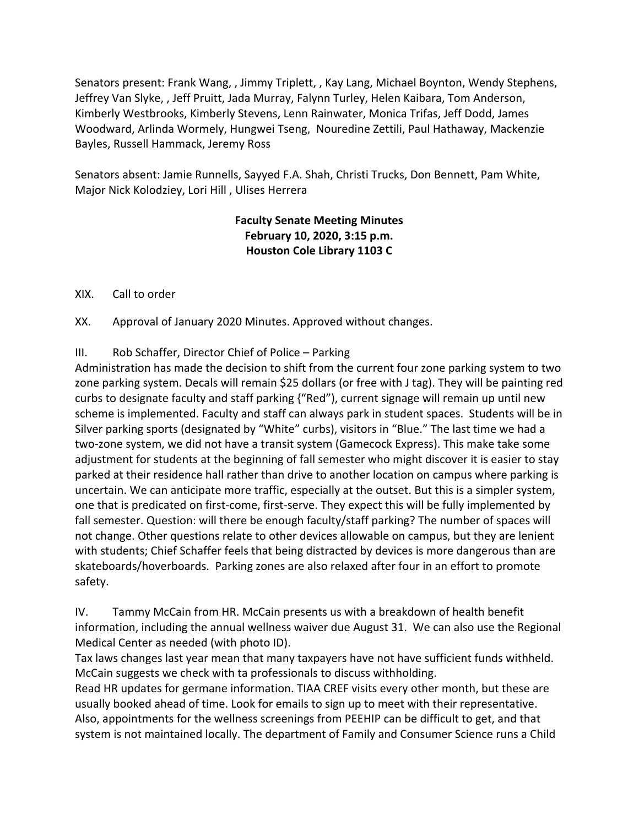Senators present: Frank Wang, , Jimmy Triplett, , Kay Lang, Michael Boynton, Wendy Stephens, Jeffrey Van Slyke, , Jeff Pruitt, Jada Murray, Falynn Turley, Helen Kaibara, Tom Anderson, Kimberly Westbrooks, Kimberly Stevens, Lenn Rainwater, Monica Trifas, Jeff Dodd, James Woodward, Arlinda Wormely, Hungwei Tseng, Nouredine Zettili, Paul Hathaway, Mackenzie Bayles, Russell Hammack, Jeremy Ross

Senators absent: Jamie Runnells, Sayyed F.A. Shah, Christi Trucks, Don Bennett, Pam White, Major Nick Kolodziey, Lori Hill , Ulises Herrera

# **Faculty Senate Meeting Minutes February 10, 2020, 3:15 p.m. Houston Cole Library 1103 C**

XIX. Call to order

XX. Approval of January 2020 Minutes. Approved without changes.

III. Rob Schaffer, Director Chief of Police – Parking

Administration has made the decision to shift from the current four zone parking system to two zone parking system. Decals will remain \$25 dollars (or free with J tag). They will be painting red curbs to designate faculty and staff parking {"Red"), current signage will remain up until new scheme is implemented. Faculty and staff can always park in student spaces. Students will be in Silver parking sports (designated by "White" curbs), visitors in "Blue." The last time we had a two-zone system, we did not have a transit system (Gamecock Express). This make take some adjustment for students at the beginning of fall semester who might discover it is easier to stay parked at their residence hall rather than drive to another location on campus where parking is uncertain. We can anticipate more traffic, especially at the outset. But this is a simpler system, one that is predicated on first-come, first-serve. They expect this will be fully implemented by fall semester. Question: will there be enough faculty/staff parking? The number of spaces will not change. Other questions relate to other devices allowable on campus, but they are lenient with students; Chief Schaffer feels that being distracted by devices is more dangerous than are skateboards/hoverboards. Parking zones are also relaxed after four in an effort to promote safety.

IV. Tammy McCain from HR. McCain presents us with a breakdown of health benefit information, including the annual wellness waiver due August 31. We can also use the Regional Medical Center as needed (with photo ID).

Tax laws changes last year mean that many taxpayers have not have sufficient funds withheld. McCain suggests we check with ta professionals to discuss withholding.

Read HR updates for germane information. TIAA CREF visits every other month, but these are usually booked ahead of time. Look for emails to sign up to meet with their representative. Also, appointments for the wellness screenings from PEEHIP can be difficult to get, and that system is not maintained locally. The department of Family and Consumer Science runs a Child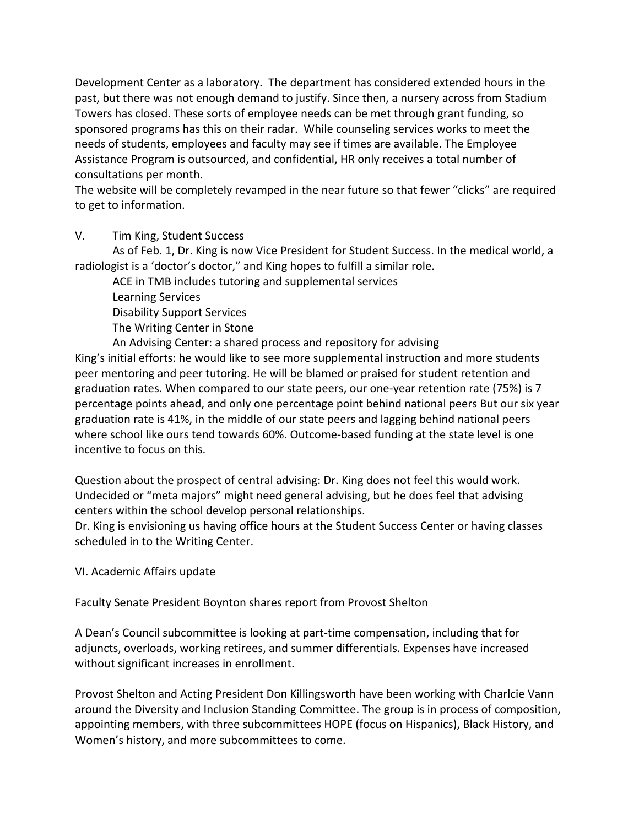Development Center as a laboratory. The department has considered extended hours in the past, but there was not enough demand to justify. Since then, a nursery across from Stadium Towers has closed. These sorts of employee needs can be met through grant funding, so sponsored programs has this on their radar. While counseling services works to meet the needs of students, employees and faculty may see if times are available. The Employee Assistance Program is outsourced, and confidential, HR only receives a total number of consultations per month.

The website will be completely revamped in the near future so that fewer "clicks" are required to get to information.

V. Tim King, Student Success

As of Feb. 1, Dr. King is now Vice President for Student Success. In the medical world, a radiologist is a 'doctor's doctor," and King hopes to fulfill a similar role.

ACE in TMB includes tutoring and supplemental services Learning Services Disability Support Services The Writing Center in Stone An Advising Center: a shared process and repository for advising

King's initial efforts: he would like to see more supplemental instruction and more students peer mentoring and peer tutoring. He will be blamed or praised for student retention and graduation rates. When compared to our state peers, our one-year retention rate (75%) is 7 percentage points ahead, and only one percentage point behind national peers But our six year graduation rate is 41%, in the middle of our state peers and lagging behind national peers where school like ours tend towards 60%. Outcome-based funding at the state level is one incentive to focus on this.

Question about the prospect of central advising: Dr. King does not feel this would work. Undecided or "meta majors" might need general advising, but he does feel that advising centers within the school develop personal relationships.

Dr. King is envisioning us having office hours at the Student Success Center or having classes scheduled in to the Writing Center.

VI. Academic Affairs update

Faculty Senate President Boynton shares report from Provost Shelton

A Dean's Council subcommittee is looking at part-time compensation, including that for adjuncts, overloads, working retirees, and summer differentials. Expenses have increased without significant increases in enrollment.

Provost Shelton and Acting President Don Killingsworth have been working with Charlcie Vann around the Diversity and Inclusion Standing Committee. The group is in process of composition, appointing members, with three subcommittees HOPE (focus on Hispanics), Black History, and Women's history, and more subcommittees to come.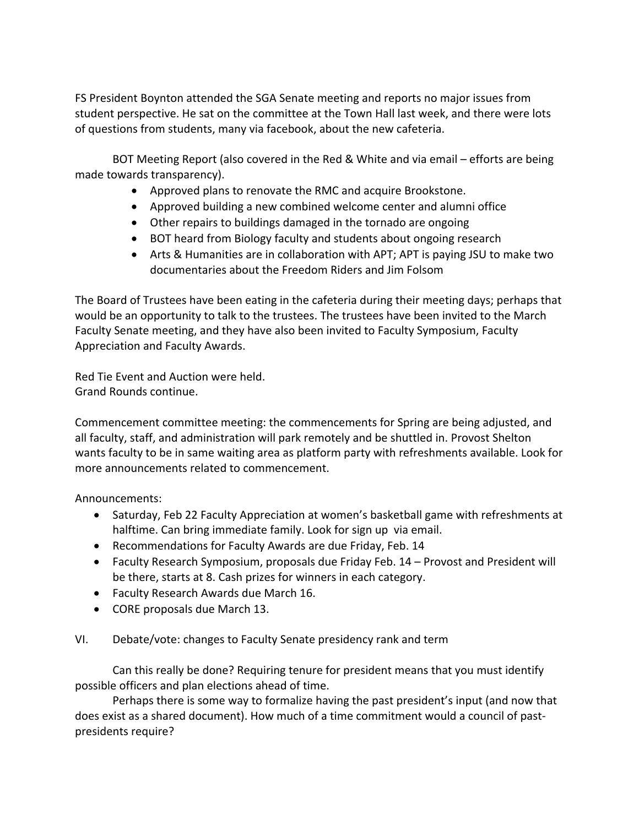FS President Boynton attended the SGA Senate meeting and reports no major issues from student perspective. He sat on the committee at the Town Hall last week, and there were lots of questions from students, many via facebook, about the new cafeteria.

BOT Meeting Report (also covered in the Red & White and via email – efforts are being made towards transparency).

- Approved plans to renovate the RMC and acquire Brookstone.
- Approved building a new combined welcome center and alumni office
- Other repairs to buildings damaged in the tornado are ongoing
- BOT heard from Biology faculty and students about ongoing research
- Arts & Humanities are in collaboration with APT; APT is paying JSU to make two documentaries about the Freedom Riders and Jim Folsom

The Board of Trustees have been eating in the cafeteria during their meeting days; perhaps that would be an opportunity to talk to the trustees. The trustees have been invited to the March Faculty Senate meeting, and they have also been invited to Faculty Symposium, Faculty Appreciation and Faculty Awards.

Red Tie Event and Auction were held. Grand Rounds continue.

Commencement committee meeting: the commencements for Spring are being adjusted, and all faculty, staff, and administration will park remotely and be shuttled in. Provost Shelton wants faculty to be in same waiting area as platform party with refreshments available. Look for more announcements related to commencement.

Announcements:

- Saturday, Feb 22 Faculty Appreciation at women's basketball game with refreshments at halftime. Can bring immediate family. Look for sign up via email.
- Recommendations for Faculty Awards are due Friday, Feb. 14
- Faculty Research Symposium, proposals due Friday Feb. 14 Provost and President will be there, starts at 8. Cash prizes for winners in each category.
- Faculty Research Awards due March 16.
- CORE proposals due March 13.

VI. Debate/vote: changes to Faculty Senate presidency rank and term

Can this really be done? Requiring tenure for president means that you must identify possible officers and plan elections ahead of time.

Perhaps there is some way to formalize having the past president's input (and now that does exist as a shared document). How much of a time commitment would a council of pastpresidents require?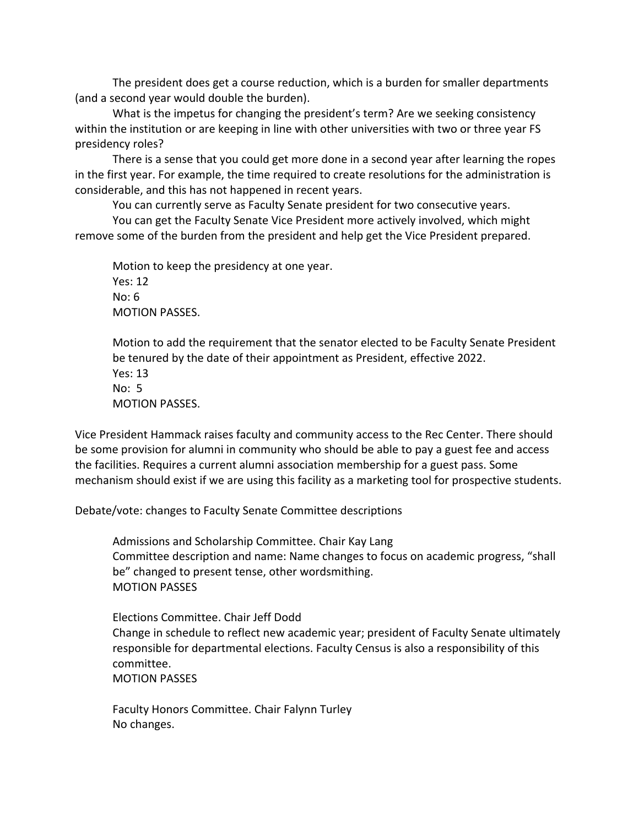The president does get a course reduction, which is a burden for smaller departments (and a second year would double the burden).

What is the impetus for changing the president's term? Are we seeking consistency within the institution or are keeping in line with other universities with two or three year FS presidency roles?

There is a sense that you could get more done in a second year after learning the ropes in the first year. For example, the time required to create resolutions for the administration is considerable, and this has not happened in recent years.

You can currently serve as Faculty Senate president for two consecutive years.

You can get the Faculty Senate Vice President more actively involved, which might remove some of the burden from the president and help get the Vice President prepared.

Motion to keep the presidency at one year. Yes: 12 No: 6 MOTION PASSES.

Motion to add the requirement that the senator elected to be Faculty Senate President be tenured by the date of their appointment as President, effective 2022. Yes: 13 No: 5 MOTION PASSES.

Vice President Hammack raises faculty and community access to the Rec Center. There should be some provision for alumni in community who should be able to pay a guest fee and access the facilities. Requires a current alumni association membership for a guest pass. Some mechanism should exist if we are using this facility as a marketing tool for prospective students.

Debate/vote: changes to Faculty Senate Committee descriptions

Admissions and Scholarship Committee. Chair Kay Lang Committee description and name: Name changes to focus on academic progress, "shall be" changed to present tense, other wordsmithing. MOTION PASSES

Elections Committee. Chair Jeff Dodd Change in schedule to reflect new academic year; president of Faculty Senate ultimately responsible for departmental elections. Faculty Census is also a responsibility of this committee. MOTION PASSES

Faculty Honors Committee. Chair Falynn Turley No changes.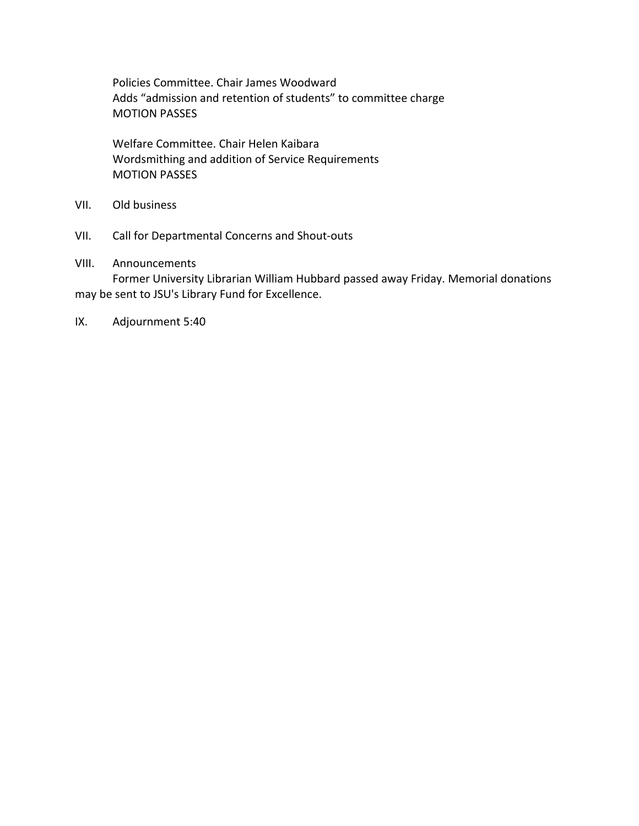Policies Committee. Chair James Woodward Adds "admission and retention of students" to committee charge MOTION PASSES

Welfare Committee. Chair Helen Kaibara Wordsmithing and addition of Service Requirements MOTION PASSES

- VII. Old business
- VII. Call for Departmental Concerns and Shout-outs

#### VIII. Announcements

Former University Librarian William Hubbard passed away Friday. Memorial donations may be sent to JSU's Library Fund for Excellence.

IX. Adjournment 5:40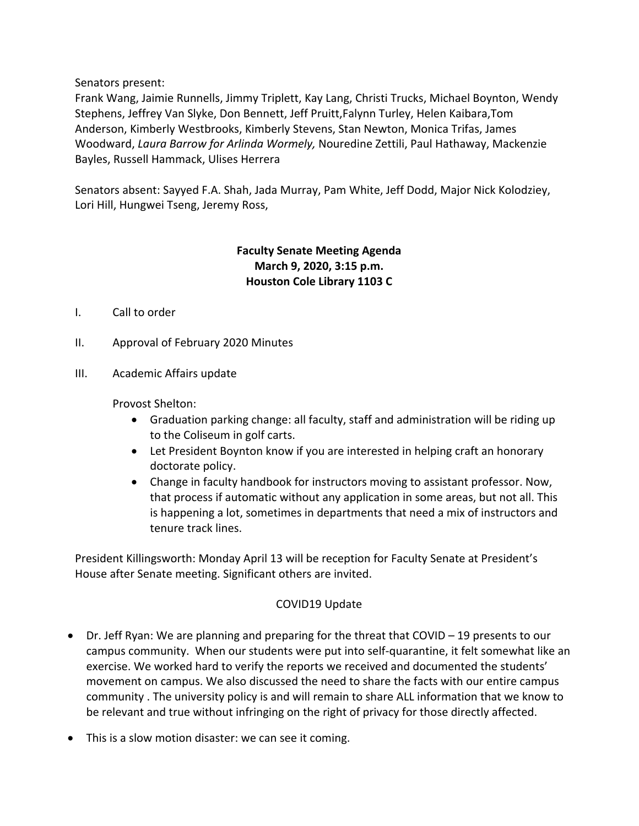Senators present:

Frank Wang, Jaimie Runnells, Jimmy Triplett, Kay Lang, Christi Trucks, Michael Boynton, Wendy Stephens, Jeffrey Van Slyke, Don Bennett, Jeff Pruitt,Falynn Turley, Helen Kaibara,Tom Anderson, Kimberly Westbrooks, Kimberly Stevens, Stan Newton, Monica Trifas, James Woodward, *Laura Barrow for Arlinda Wormely,* Nouredine Zettili, Paul Hathaway, Mackenzie Bayles, Russell Hammack, Ulises Herrera

Senators absent: Sayyed F.A. Shah, Jada Murray, Pam White, Jeff Dodd, Major Nick Kolodziey, Lori Hill, Hungwei Tseng, Jeremy Ross,

## **Faculty Senate Meeting Agenda March 9, 2020, 3:15 p.m. Houston Cole Library 1103 C**

- I. Call to order
- II. Approval of February 2020 Minutes
- III. Academic Affairs update

Provost Shelton:

- Graduation parking change: all faculty, staff and administration will be riding up to the Coliseum in golf carts.
- Let President Boynton know if you are interested in helping craft an honorary doctorate policy.
- Change in faculty handbook for instructors moving to assistant professor. Now, that process if automatic without any application in some areas, but not all. This is happening a lot, sometimes in departments that need a mix of instructors and tenure track lines.

President Killingsworth: Monday April 13 will be reception for Faculty Senate at President's House after Senate meeting. Significant others are invited.

#### COVID19 Update

- Dr. Jeff Ryan: We are planning and preparing for the threat that COVID 19 presents to our campus community. When our students were put into self-quarantine, it felt somewhat like an exercise. We worked hard to verify the reports we received and documented the students' movement on campus. We also discussed the need to share the facts with our entire campus community . The university policy is and will remain to share ALL information that we know to be relevant and true without infringing on the right of privacy for those directly affected.
- This is a slow motion disaster: we can see it coming.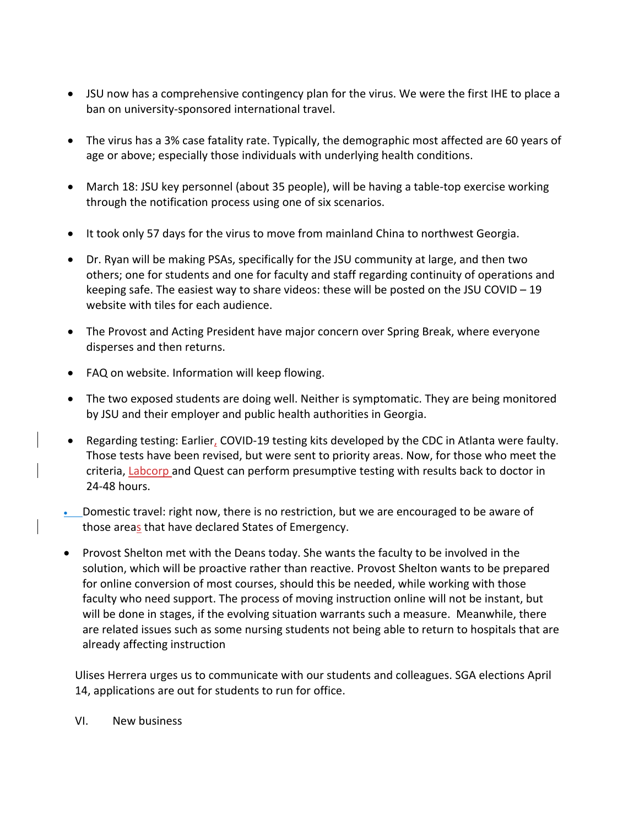- JSU now has a comprehensive contingency plan for the virus. We were the first IHE to place a ban on university-sponsored international travel.
- The virus has a 3% case fatality rate. Typically, the demographic most affected are 60 years of age or above; especially those individuals with underlying health conditions.
- March 18: JSU key personnel (about 35 people), will be having a table-top exercise working through the notification process using one of six scenarios.
- It took only 57 days for the virus to move from mainland China to northwest Georgia.
- Dr. Ryan will be making PSAs, specifically for the JSU community at large, and then two others; one for students and one for faculty and staff regarding continuity of operations and keeping safe. The easiest way to share videos: these will be posted on the JSU COVID – 19 website with tiles for each audience.
- The Provost and Acting President have major concern over Spring Break, where everyone disperses and then returns.
- FAQ on website. Information will keep flowing.
- The two exposed students are doing well. Neither is symptomatic. They are being monitored by JSU and their employer and public health authorities in Georgia.
- Regarding testing: Earlier, COVID-19 testing kits developed by the CDC in Atlanta were faulty. Those tests have been revised, but were sent to priority areas. Now, for those who meet the criteria, Labcorp and Quest can perform presumptive testing with results back to doctor in 24-48 hours.
- Domestic travel: right now, there is no restriction, but we are encouraged to be aware of those areas that have declared States of Emergency.
- Provost Shelton met with the Deans today. She wants the faculty to be involved in the solution, which will be proactive rather than reactive. Provost Shelton wants to be prepared for online conversion of most courses, should this be needed, while working with those faculty who need support. The process of moving instruction online will not be instant, but will be done in stages, if the evolving situation warrants such a measure. Meanwhile, there are related issues such as some nursing students not being able to return to hospitals that are already affecting instruction

Ulises Herrera urges us to communicate with our students and colleagues. SGA elections April 14, applications are out for students to run for office.

VI. New business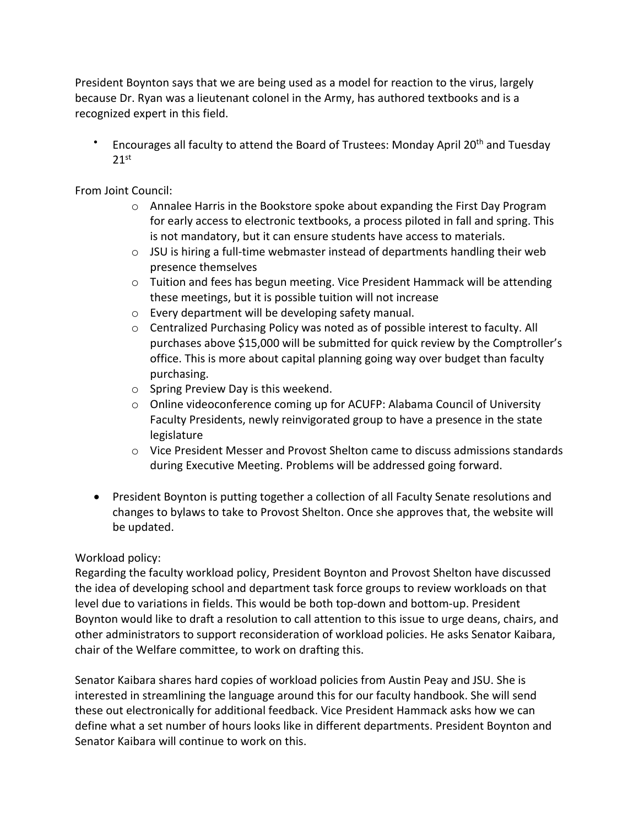President Boynton says that we are being used as a model for reaction to the virus, largely because Dr. Ryan was a lieutenant colonel in the Army, has authored textbooks and is a recognized expert in this field.

Encourages all faculty to attend the Board of Trustees: Monday April 20<sup>th</sup> and Tuesday  $21<sup>st</sup>$ 

From Joint Council:

- o Annalee Harris in the Bookstore spoke about expanding the First Day Program for early access to electronic textbooks, a process piloted in fall and spring. This is not mandatory, but it can ensure students have access to materials.
- o JSU is hiring a full-time webmaster instead of departments handling their web presence themselves
- o Tuition and fees has begun meeting. Vice President Hammack will be attending these meetings, but it is possible tuition will not increase
- o Every department will be developing safety manual.
- $\circ$  Centralized Purchasing Policy was noted as of possible interest to faculty. All purchases above \$15,000 will be submitted for quick review by the Comptroller's office. This is more about capital planning going way over budget than faculty purchasing.
- o Spring Preview Day is this weekend.
- o Online videoconference coming up for ACUFP: Alabama Council of University Faculty Presidents, newly reinvigorated group to have a presence in the state legislature
- $\circ$  Vice President Messer and Provost Shelton came to discuss admissions standards during Executive Meeting. Problems will be addressed going forward.
- President Boynton is putting together a collection of all Faculty Senate resolutions and changes to bylaws to take to Provost Shelton. Once she approves that, the website will be updated.

### Workload policy:

Regarding the faculty workload policy, President Boynton and Provost Shelton have discussed the idea of developing school and department task force groups to review workloads on that level due to variations in fields. This would be both top-down and bottom-up. President Boynton would like to draft a resolution to call attention to this issue to urge deans, chairs, and other administrators to support reconsideration of workload policies. He asks Senator Kaibara, chair of the Welfare committee, to work on drafting this.

Senator Kaibara shares hard copies of workload policies from Austin Peay and JSU. She is interested in streamlining the language around this for our faculty handbook. She will send these out electronically for additional feedback. Vice President Hammack asks how we can define what a set number of hours looks like in different departments. President Boynton and Senator Kaibara will continue to work on this.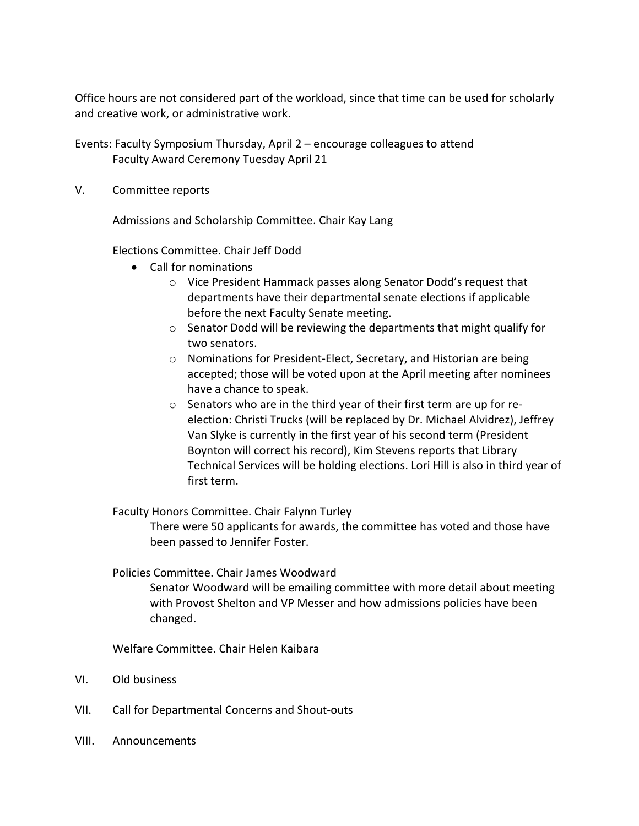Office hours are not considered part of the workload, since that time can be used for scholarly and creative work, or administrative work.

Events: Faculty Symposium Thursday, April 2 – encourage colleagues to attend Faculty Award Ceremony Tuesday April 21

V. Committee reports

Admissions and Scholarship Committee. Chair Kay Lang

Elections Committee. Chair Jeff Dodd

- Call for nominations
	- o Vice President Hammack passes along Senator Dodd's request that departments have their departmental senate elections if applicable before the next Faculty Senate meeting.
	- o Senator Dodd will be reviewing the departments that might qualify for two senators.
	- o Nominations for President-Elect, Secretary, and Historian are being accepted; those will be voted upon at the April meeting after nominees have a chance to speak.
	- o Senators who are in the third year of their first term are up for reelection: Christi Trucks (will be replaced by Dr. Michael Alvidrez), Jeffrey Van Slyke is currently in the first year of his second term (President Boynton will correct his record), Kim Stevens reports that Library Technical Services will be holding elections. Lori Hill is also in third year of first term.

Faculty Honors Committee. Chair Falynn Turley

There were 50 applicants for awards, the committee has voted and those have been passed to Jennifer Foster.

#### Policies Committee. Chair James Woodward

Senator Woodward will be emailing committee with more detail about meeting with Provost Shelton and VP Messer and how admissions policies have been changed.

Welfare Committee. Chair Helen Kaibara

- VI. Old business
- VII. Call for Departmental Concerns and Shout-outs
- VIII. Announcements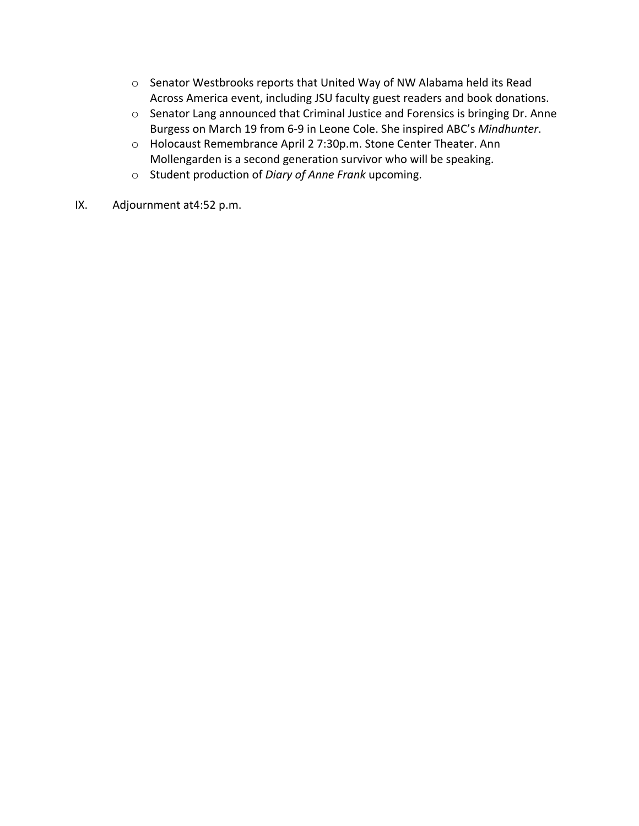- o Senator Westbrooks reports that United Way of NW Alabama held its Read Across America event, including JSU faculty guest readers and book donations.
- o Senator Lang announced that Criminal Justice and Forensics is bringing Dr. Anne Burgess on March 19 from 6-9 in Leone Cole. She inspired ABC's *Mindhunter*.
- o Holocaust Remembrance April 2 7:30p.m. Stone Center Theater. Ann Mollengarden is a second generation survivor who will be speaking.
- o Student production of *Diary of Anne Frank* upcoming.
- IX. Adjournment at4:52 p.m.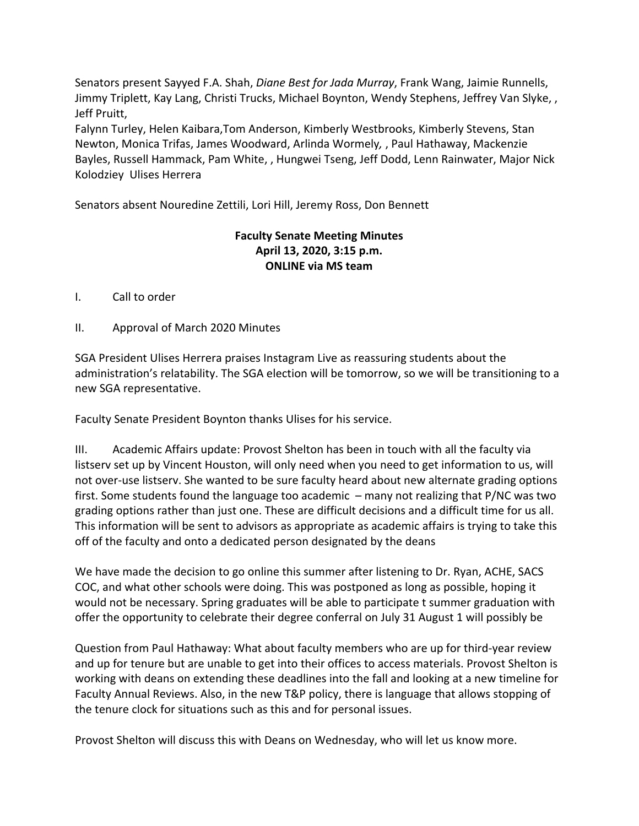Senators present Sayyed F.A. Shah, *Diane Best for Jada Murray*, Frank Wang, Jaimie Runnells, Jimmy Triplett, Kay Lang, Christi Trucks, Michael Boynton, Wendy Stephens, Jeffrey Van Slyke, , Jeff Pruitt,

Falynn Turley, Helen Kaibara,Tom Anderson, Kimberly Westbrooks, Kimberly Stevens, Stan Newton, Monica Trifas, James Woodward, Arlinda Wormely*,* , Paul Hathaway, Mackenzie Bayles, Russell Hammack, Pam White, , Hungwei Tseng, Jeff Dodd, Lenn Rainwater, Major Nick Kolodziey Ulises Herrera

Senators absent Nouredine Zettili, Lori Hill, Jeremy Ross, Don Bennett

## **Faculty Senate Meeting Minutes April 13, 2020, 3:15 p.m. ONLINE via MS team**

I. Call to order

II. Approval of March 2020 Minutes

SGA President Ulises Herrera praises Instagram Live as reassuring students about the administration's relatability. The SGA election will be tomorrow, so we will be transitioning to a new SGA representative.

Faculty Senate President Boynton thanks Ulises for his service.

III. Academic Affairs update: Provost Shelton has been in touch with all the faculty via listserv set up by Vincent Houston, will only need when you need to get information to us, will not over-use listserv. She wanted to be sure faculty heard about new alternate grading options first. Some students found the language too academic – many not realizing that P/NC was two grading options rather than just one. These are difficult decisions and a difficult time for us all. This information will be sent to advisors as appropriate as academic affairs is trying to take this off of the faculty and onto a dedicated person designated by the deans

We have made the decision to go online this summer after listening to Dr. Ryan, ACHE, SACS COC, and what other schools were doing. This was postponed as long as possible, hoping it would not be necessary. Spring graduates will be able to participate t summer graduation with offer the opportunity to celebrate their degree conferral on July 31 August 1 will possibly be

Question from Paul Hathaway: What about faculty members who are up for third-year review and up for tenure but are unable to get into their offices to access materials. Provost Shelton is working with deans on extending these deadlines into the fall and looking at a new timeline for Faculty Annual Reviews. Also, in the new T&P policy, there is language that allows stopping of the tenure clock for situations such as this and for personal issues.

Provost Shelton will discuss this with Deans on Wednesday, who will let us know more.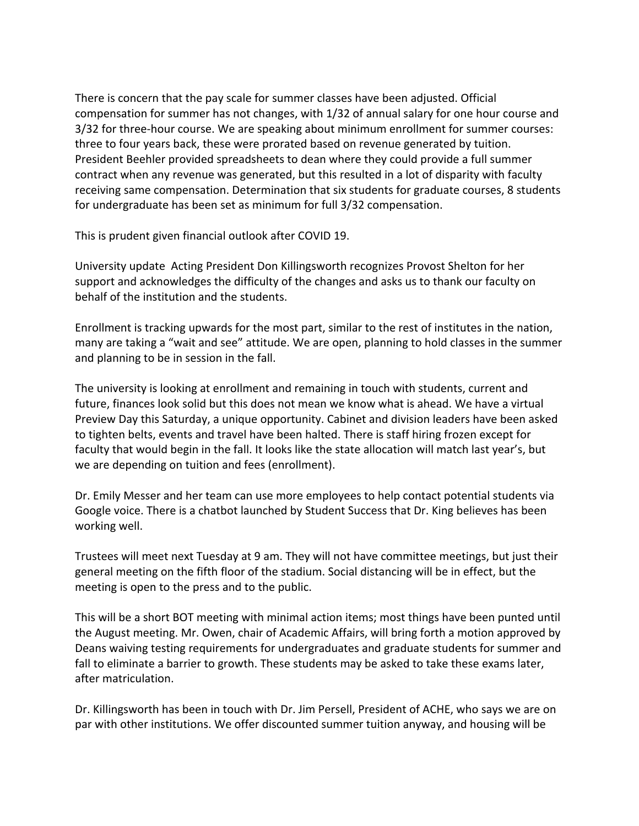There is concern that the pay scale for summer classes have been adjusted. Official compensation for summer has not changes, with 1/32 of annual salary for one hour course and 3/32 for three-hour course. We are speaking about minimum enrollment for summer courses: three to four years back, these were prorated based on revenue generated by tuition. President Beehler provided spreadsheets to dean where they could provide a full summer contract when any revenue was generated, but this resulted in a lot of disparity with faculty receiving same compensation. Determination that six students for graduate courses, 8 students for undergraduate has been set as minimum for full 3/32 compensation.

This is prudent given financial outlook after COVID 19.

University update Acting President Don Killingsworth recognizes Provost Shelton for her support and acknowledges the difficulty of the changes and asks us to thank our faculty on behalf of the institution and the students.

Enrollment is tracking upwards for the most part, similar to the rest of institutes in the nation, many are taking a "wait and see" attitude. We are open, planning to hold classes in the summer and planning to be in session in the fall.

The university is looking at enrollment and remaining in touch with students, current and future, finances look solid but this does not mean we know what is ahead. We have a virtual Preview Day this Saturday, a unique opportunity. Cabinet and division leaders have been asked to tighten belts, events and travel have been halted. There is staff hiring frozen except for faculty that would begin in the fall. It looks like the state allocation will match last year's, but we are depending on tuition and fees (enrollment).

Dr. Emily Messer and her team can use more employees to help contact potential students via Google voice. There is a chatbot launched by Student Success that Dr. King believes has been working well.

Trustees will meet next Tuesday at 9 am. They will not have committee meetings, but just their general meeting on the fifth floor of the stadium. Social distancing will be in effect, but the meeting is open to the press and to the public.

This will be a short BOT meeting with minimal action items; most things have been punted until the August meeting. Mr. Owen, chair of Academic Affairs, will bring forth a motion approved by Deans waiving testing requirements for undergraduates and graduate students for summer and fall to eliminate a barrier to growth. These students may be asked to take these exams later, after matriculation.

Dr. Killingsworth has been in touch with Dr. Jim Persell, President of ACHE, who says we are on par with other institutions. We offer discounted summer tuition anyway, and housing will be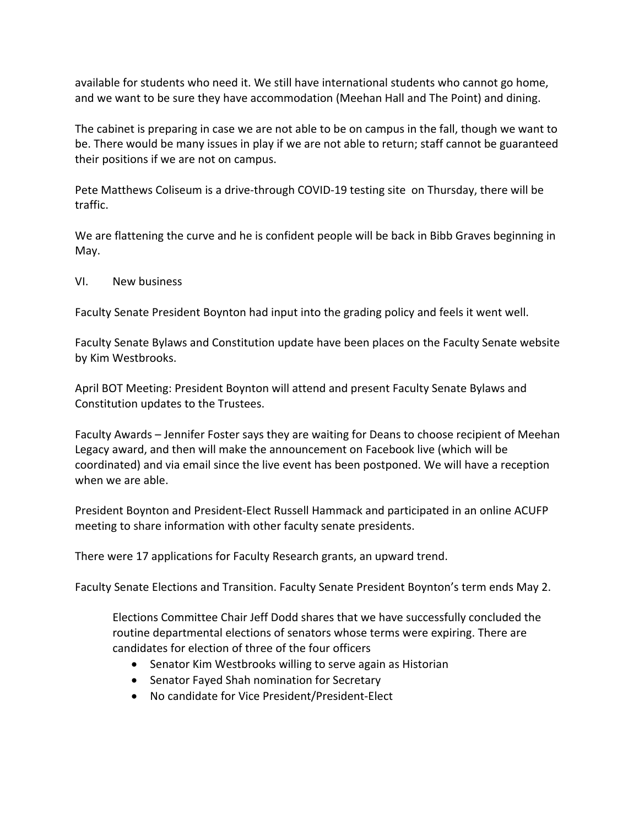available for students who need it. We still have international students who cannot go home, and we want to be sure they have accommodation (Meehan Hall and The Point) and dining.

The cabinet is preparing in case we are not able to be on campus in the fall, though we want to be. There would be many issues in play if we are not able to return; staff cannot be guaranteed their positions if we are not on campus.

Pete Matthews Coliseum is a drive-through COVID-19 testing site on Thursday, there will be traffic.

We are flattening the curve and he is confident people will be back in Bibb Graves beginning in May.

#### VI. New business

Faculty Senate President Boynton had input into the grading policy and feels it went well.

Faculty Senate Bylaws and Constitution update have been places on the Faculty Senate website by Kim Westbrooks.

April BOT Meeting: President Boynton will attend and present Faculty Senate Bylaws and Constitution updates to the Trustees.

Faculty Awards – Jennifer Foster says they are waiting for Deans to choose recipient of Meehan Legacy award, and then will make the announcement on Facebook live (which will be coordinated) and via email since the live event has been postponed. We will have a reception when we are able.

President Boynton and President-Elect Russell Hammack and participated in an online ACUFP meeting to share information with other faculty senate presidents.

There were 17 applications for Faculty Research grants, an upward trend.

Faculty Senate Elections and Transition. Faculty Senate President Boynton's term ends May 2.

Elections Committee Chair Jeff Dodd shares that we have successfully concluded the routine departmental elections of senators whose terms were expiring. There are candidates for election of three of the four officers

- Senator Kim Westbrooks willing to serve again as Historian
- Senator Fayed Shah nomination for Secretary
- No candidate for Vice President/President-Elect